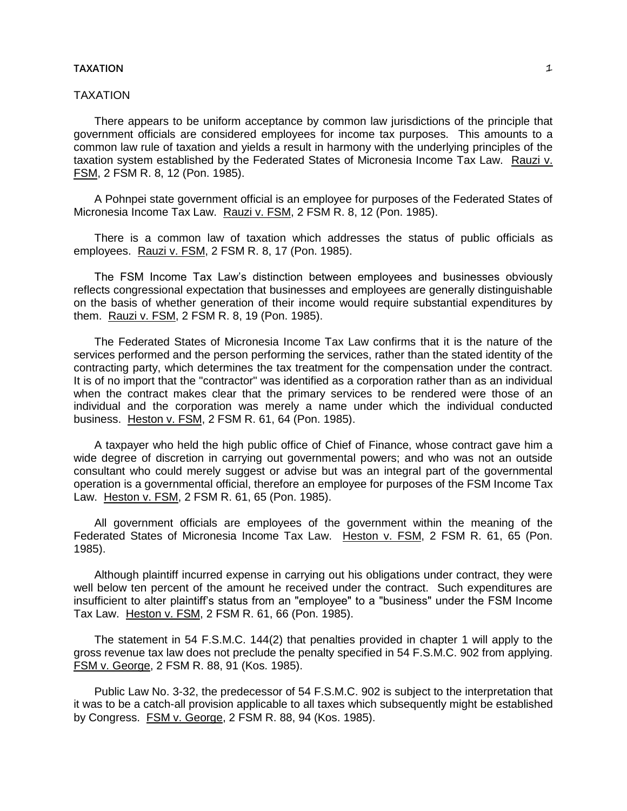# TAXATION

There appears to be uniform acceptance by common law jurisdictions of the principle that government officials are considered employees for income tax purposes. This amounts to a common law rule of taxation and yields a result in harmony with the underlying principles of the taxation system established by the Federated States of Micronesia Income Tax Law. Rauzi v. FSM, 2 FSM R. 8, 12 (Pon. 1985).

A Pohnpei state government official is an employee for purposes of the Federated States of Micronesia Income Tax Law. Rauzi v. FSM, 2 FSM R. 8, 12 (Pon. 1985).

There is a common law of taxation which addresses the status of public officials as employees. Rauzi v. FSM, 2 FSM R. 8, 17 (Pon. 1985).

The FSM Income Tax Law's distinction between employees and businesses obviously reflects congressional expectation that businesses and employees are generally distinguishable on the basis of whether generation of their income would require substantial expenditures by them. Rauzi v. FSM, 2 FSM R. 8, 19 (Pon. 1985).

The Federated States of Micronesia Income Tax Law confirms that it is the nature of the services performed and the person performing the services, rather than the stated identity of the contracting party, which determines the tax treatment for the compensation under the contract. It is of no import that the "contractor" was identified as a corporation rather than as an individual when the contract makes clear that the primary services to be rendered were those of an individual and the corporation was merely a name under which the individual conducted business. Heston v. FSM, 2 FSM R. 61, 64 (Pon. 1985).

A taxpayer who held the high public office of Chief of Finance, whose contract gave him a wide degree of discretion in carrying out governmental powers; and who was not an outside consultant who could merely suggest or advise but was an integral part of the governmental operation is a governmental official, therefore an employee for purposes of the FSM Income Tax Law. Heston v. FSM, 2 FSM R. 61, 65 (Pon. 1985).

All government officials are employees of the government within the meaning of the Federated States of Micronesia Income Tax Law. Heston v. FSM, 2 FSM R. 61, 65 (Pon. 1985).

Although plaintiff incurred expense in carrying out his obligations under contract, they were well below ten percent of the amount he received under the contract. Such expenditures are insufficient to alter plaintiff's status from an "employee" to a "business" under the FSM Income Tax Law. Heston v. FSM, 2 FSM R. 61, 66 (Pon. 1985).

The statement in 54 F.S.M.C. 144(2) that penalties provided in chapter 1 will apply to the gross revenue tax law does not preclude the penalty specified in 54 F.S.M.C. 902 from applying. FSM v. George, 2 FSM R. 88, 91 (Kos. 1985).

Public Law No. 3-32, the predecessor of 54 F.S.M.C. 902 is subject to the interpretation that it was to be a catch-all provision applicable to all taxes which subsequently might be established by Congress. FSM v. George, 2 FSM R. 88, 94 (Kos. 1985).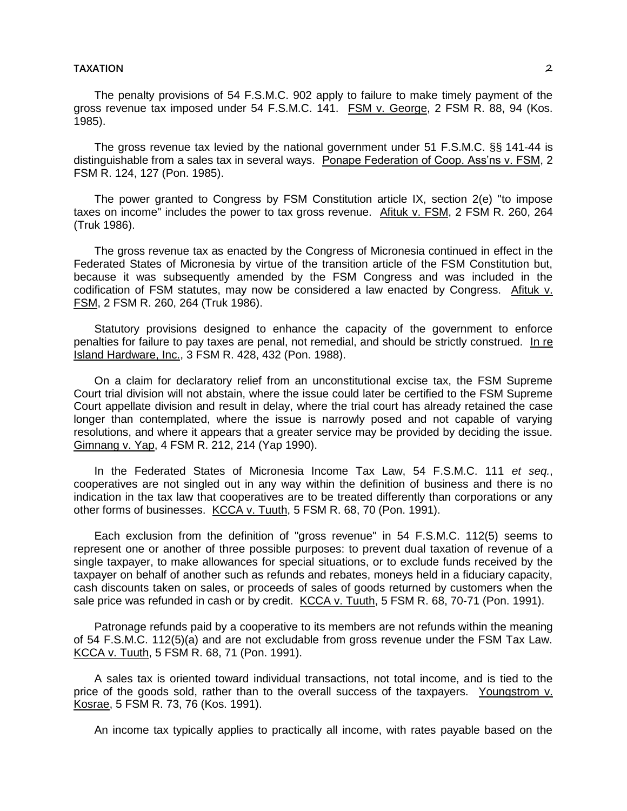The penalty provisions of 54 F.S.M.C. 902 apply to failure to make timely payment of the gross revenue tax imposed under 54 F.S.M.C. 141. FSM v. George, 2 FSM R. 88, 94 (Kos. 1985).

The gross revenue tax levied by the national government under 51 F.S.M.C. §§ 141-44 is distinguishable from a sales tax in several ways. Ponape Federation of Coop. Ass'ns v. FSM, 2 FSM R. 124, 127 (Pon. 1985).

The power granted to Congress by FSM Constitution article IX, section 2(e) "to impose taxes on income" includes the power to tax gross revenue. Afituk v. FSM, 2 FSM R. 260, 264 (Truk 1986).

The gross revenue tax as enacted by the Congress of Micronesia continued in effect in the Federated States of Micronesia by virtue of the transition article of the FSM Constitution but, because it was subsequently amended by the FSM Congress and was included in the codification of FSM statutes, may now be considered a law enacted by Congress. Afituk v. FSM, 2 FSM R. 260, 264 (Truk 1986).

Statutory provisions designed to enhance the capacity of the government to enforce penalties for failure to pay taxes are penal, not remedial, and should be strictly construed. In re Island Hardware, Inc., 3 FSM R. 428, 432 (Pon. 1988).

On a claim for declaratory relief from an unconstitutional excise tax, the FSM Supreme Court trial division will not abstain, where the issue could later be certified to the FSM Supreme Court appellate division and result in delay, where the trial court has already retained the case longer than contemplated, where the issue is narrowly posed and not capable of varying resolutions, and where it appears that a greater service may be provided by deciding the issue. Gimnang v. Yap, 4 FSM R. 212, 214 (Yap 1990).

In the Federated States of Micronesia Income Tax Law, 54 F.S.M.C. 111 *et seq.*, cooperatives are not singled out in any way within the definition of business and there is no indication in the tax law that cooperatives are to be treated differently than corporations or any other forms of businesses. KCCA v. Tuuth, 5 FSM R. 68, 70 (Pon. 1991).

Each exclusion from the definition of "gross revenue" in 54 F.S.M.C. 112(5) seems to represent one or another of three possible purposes: to prevent dual taxation of revenue of a single taxpayer, to make allowances for special situations, or to exclude funds received by the taxpayer on behalf of another such as refunds and rebates, moneys held in a fiduciary capacity, cash discounts taken on sales, or proceeds of sales of goods returned by customers when the sale price was refunded in cash or by credit. KCCA v. Tuuth, 5 FSM R. 68, 70-71 (Pon. 1991).

Patronage refunds paid by a cooperative to its members are not refunds within the meaning of 54 F.S.M.C. 112(5)(a) and are not excludable from gross revenue under the FSM Tax Law. KCCA v. Tuuth, 5 FSM R. 68, 71 (Pon. 1991).

A sales tax is oriented toward individual transactions, not total income, and is tied to the price of the goods sold, rather than to the overall success of the taxpayers. Youngstrom v. Kosrae, 5 FSM R. 73, 76 (Kos. 1991).

An income tax typically applies to practically all income, with rates payable based on the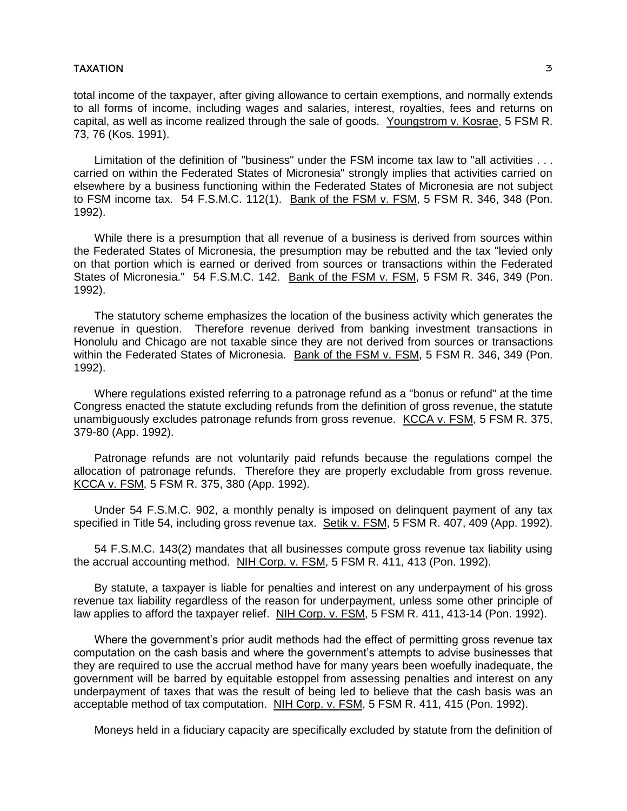total income of the taxpayer, after giving allowance to certain exemptions, and normally extends to all forms of income, including wages and salaries, interest, royalties, fees and returns on capital, as well as income realized through the sale of goods. Youngstrom v. Kosrae, 5 FSM R. 73, 76 (Kos. 1991).

Limitation of the definition of "business" under the FSM income tax law to "all activities . . . carried on within the Federated States of Micronesia" strongly implies that activities carried on elsewhere by a business functioning within the Federated States of Micronesia are not subject to FSM income tax. 54 F.S.M.C. 112(1). Bank of the FSM v. FSM, 5 FSM R. 346, 348 (Pon. 1992).

While there is a presumption that all revenue of a business is derived from sources within the Federated States of Micronesia, the presumption may be rebutted and the tax "levied only on that portion which is earned or derived from sources or transactions within the Federated States of Micronesia." 54 F.S.M.C. 142. Bank of the FSM v. FSM, 5 FSM R. 346, 349 (Pon. 1992).

The statutory scheme emphasizes the location of the business activity which generates the revenue in question. Therefore revenue derived from banking investment transactions in Honolulu and Chicago are not taxable since they are not derived from sources or transactions within the Federated States of Micronesia. Bank of the FSM v. FSM, 5 FSM R. 346, 349 (Pon. 1992).

Where regulations existed referring to a patronage refund as a "bonus or refund" at the time Congress enacted the statute excluding refunds from the definition of gross revenue, the statute unambiguously excludes patronage refunds from gross revenue. KCCA v. FSM, 5 FSM R. 375, 379-80 (App. 1992).

Patronage refunds are not voluntarily paid refunds because the regulations compel the allocation of patronage refunds. Therefore they are properly excludable from gross revenue. KCCA v. FSM, 5 FSM R. 375, 380 (App. 1992).

Under 54 F.S.M.C. 902, a monthly penalty is imposed on delinquent payment of any tax specified in Title 54, including gross revenue tax. Setik v. FSM, 5 FSM R. 407, 409 (App. 1992).

54 F.S.M.C. 143(2) mandates that all businesses compute gross revenue tax liability using the accrual accounting method. NIH Corp. v. FSM, 5 FSM R. 411, 413 (Pon. 1992).

By statute, a taxpayer is liable for penalties and interest on any underpayment of his gross revenue tax liability regardless of the reason for underpayment, unless some other principle of law applies to afford the taxpayer relief. NIH Corp. v. FSM, 5 FSM R. 411, 413-14 (Pon. 1992).

Where the government's prior audit methods had the effect of permitting gross revenue tax computation on the cash basis and where the government's attempts to advise businesses that they are required to use the accrual method have for many years been woefully inadequate, the government will be barred by equitable estoppel from assessing penalties and interest on any underpayment of taxes that was the result of being led to believe that the cash basis was an acceptable method of tax computation. NIH Corp. v. FSM, 5 FSM R. 411, 415 (Pon. 1992).

Moneys held in a fiduciary capacity are specifically excluded by statute from the definition of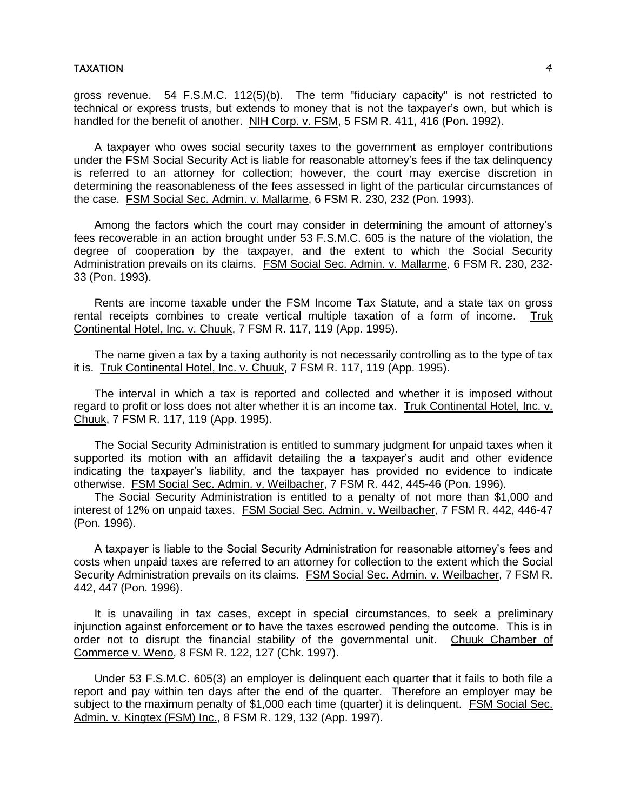gross revenue. 54 F.S.M.C. 112(5)(b). The term "fiduciary capacity" is not restricted to technical or express trusts, but extends to money that is not the taxpayer's own, but which is handled for the benefit of another. NIH Corp. v. FSM, 5 FSM R. 411, 416 (Pon. 1992).

A taxpayer who owes social security taxes to the government as employer contributions under the FSM Social Security Act is liable for reasonable attorney's fees if the tax delinquency is referred to an attorney for collection; however, the court may exercise discretion in determining the reasonableness of the fees assessed in light of the particular circumstances of the case. FSM Social Sec. Admin. v. Mallarme, 6 FSM R. 230, 232 (Pon. 1993).

Among the factors which the court may consider in determining the amount of attorney's fees recoverable in an action brought under 53 F.S.M.C. 605 is the nature of the violation, the degree of cooperation by the taxpayer, and the extent to which the Social Security Administration prevails on its claims. FSM Social Sec. Admin. v. Mallarme, 6 FSM R. 230, 232- 33 (Pon. 1993).

Rents are income taxable under the FSM Income Tax Statute, and a state tax on gross rental receipts combines to create vertical multiple taxation of a form of income. Truk Continental Hotel, Inc. v. Chuuk, 7 FSM R. 117, 119 (App. 1995).

The name given a tax by a taxing authority is not necessarily controlling as to the type of tax it is. Truk Continental Hotel, Inc. v. Chuuk, 7 FSM R. 117, 119 (App. 1995).

The interval in which a tax is reported and collected and whether it is imposed without regard to profit or loss does not alter whether it is an income tax. Truk Continental Hotel, Inc. v. Chuuk, 7 FSM R. 117, 119 (App. 1995).

The Social Security Administration is entitled to summary judgment for unpaid taxes when it supported its motion with an affidavit detailing the a taxpayer's audit and other evidence indicating the taxpayer's liability, and the taxpayer has provided no evidence to indicate otherwise. FSM Social Sec. Admin. v. Weilbacher, 7 FSM R. 442, 445-46 (Pon. 1996).

The Social Security Administration is entitled to a penalty of not more than \$1,000 and interest of 12% on unpaid taxes. FSM Social Sec. Admin. v. Weilbacher, 7 FSM R. 442, 446-47 (Pon. 1996).

A taxpayer is liable to the Social Security Administration for reasonable attorney's fees and costs when unpaid taxes are referred to an attorney for collection to the extent which the Social Security Administration prevails on its claims. FSM Social Sec. Admin. v. Weilbacher, 7 FSM R. 442, 447 (Pon. 1996).

It is unavailing in tax cases, except in special circumstances, to seek a preliminary injunction against enforcement or to have the taxes escrowed pending the outcome. This is in order not to disrupt the financial stability of the governmental unit. Chuuk Chamber of Commerce v. Weno, 8 FSM R. 122, 127 (Chk. 1997).

Under 53 F.S.M.C. 605(3) an employer is delinquent each quarter that it fails to both file a report and pay within ten days after the end of the quarter. Therefore an employer may be subject to the maximum penalty of \$1,000 each time (quarter) it is delinquent. FSM Social Sec. Admin. v. Kingtex (FSM) Inc., 8 FSM R. 129, 132 (App. 1997).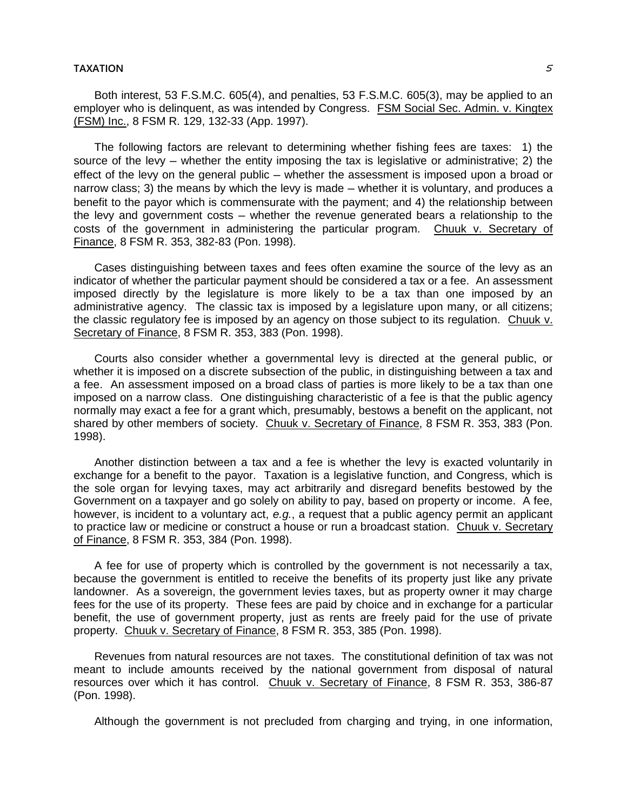Both interest, 53 F.S.M.C. 605(4), and penalties, 53 F.S.M.C. 605(3), may be applied to an employer who is delinquent, as was intended by Congress. FSM Social Sec. Admin. v. Kingtex (FSM) Inc., 8 FSM R. 129, 132-33 (App. 1997).

The following factors are relevant to determining whether fishing fees are taxes: 1) the source of the levy  $-$  whether the entity imposing the tax is legislative or administrative; 2) the effect of the levy on the general public — whether the assessment is imposed upon a broad or narrow class; 3) the means by which the levy is made — whether it is voluntary, and produces a benefit to the payor which is commensurate with the payment; and 4) the relationship between the levy and government costs — whether the revenue generated bears a relationship to the costs of the government in administering the particular program. Chuuk v. Secretary of Finance, 8 FSM R. 353, 382-83 (Pon. 1998).

Cases distinguishing between taxes and fees often examine the source of the levy as an indicator of whether the particular payment should be considered a tax or a fee. An assessment imposed directly by the legislature is more likely to be a tax than one imposed by an administrative agency. The classic tax is imposed by a legislature upon many, or all citizens; the classic regulatory fee is imposed by an agency on those subject to its regulation. Chuuk v. Secretary of Finance, 8 FSM R. 353, 383 (Pon. 1998).

Courts also consider whether a governmental levy is directed at the general public, or whether it is imposed on a discrete subsection of the public, in distinguishing between a tax and a fee. An assessment imposed on a broad class of parties is more likely to be a tax than one imposed on a narrow class. One distinguishing characteristic of a fee is that the public agency normally may exact a fee for a grant which, presumably, bestows a benefit on the applicant, not shared by other members of society. Chuuk v. Secretary of Finance, 8 FSM R. 353, 383 (Pon. 1998).

Another distinction between a tax and a fee is whether the levy is exacted voluntarily in exchange for a benefit to the payor. Taxation is a legislative function, and Congress, which is the sole organ for levying taxes, may act arbitrarily and disregard benefits bestowed by the Government on a taxpayer and go solely on ability to pay, based on property or income. A fee, however, is incident to a voluntary act, *e.g.*, a request that a public agency permit an applicant to practice law or medicine or construct a house or run a broadcast station. Chuuk v. Secretary of Finance, 8 FSM R. 353, 384 (Pon. 1998).

A fee for use of property which is controlled by the government is not necessarily a tax, because the government is entitled to receive the benefits of its property just like any private landowner. As a sovereign, the government levies taxes, but as property owner it may charge fees for the use of its property. These fees are paid by choice and in exchange for a particular benefit, the use of government property, just as rents are freely paid for the use of private property. Chuuk v. Secretary of Finance, 8 FSM R. 353, 385 (Pon. 1998).

Revenues from natural resources are not taxes. The constitutional definition of tax was not meant to include amounts received by the national government from disposal of natural resources over which it has control. Chuuk v. Secretary of Finance, 8 FSM R. 353, 386-87 (Pon. 1998).

Although the government is not precluded from charging and trying, in one information,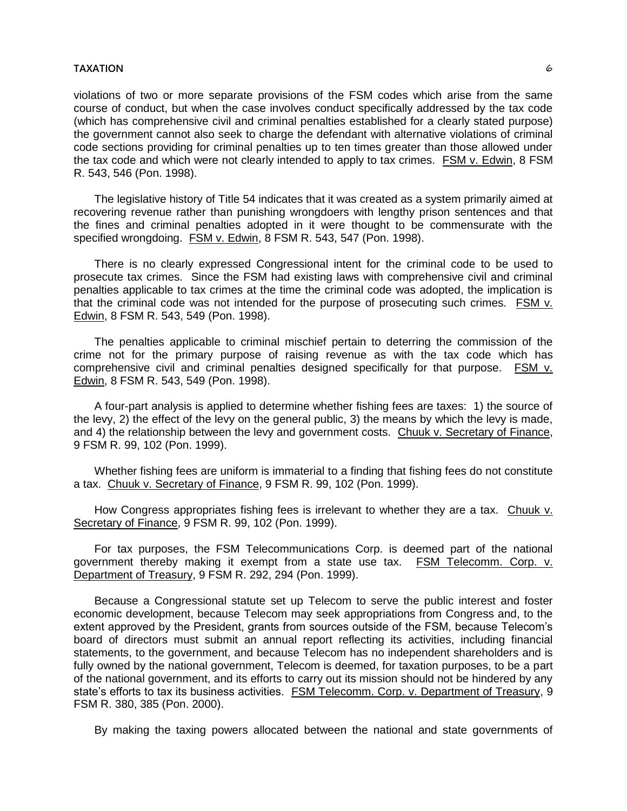violations of two or more separate provisions of the FSM codes which arise from the same course of conduct, but when the case involves conduct specifically addressed by the tax code (which has comprehensive civil and criminal penalties established for a clearly stated purpose) the government cannot also seek to charge the defendant with alternative violations of criminal code sections providing for criminal penalties up to ten times greater than those allowed under the tax code and which were not clearly intended to apply to tax crimes. FSM v. Edwin, 8 FSM R. 543, 546 (Pon. 1998).

The legislative history of Title 54 indicates that it was created as a system primarily aimed at recovering revenue rather than punishing wrongdoers with lengthy prison sentences and that the fines and criminal penalties adopted in it were thought to be commensurate with the specified wrongdoing. FSM v. Edwin, 8 FSM R. 543, 547 (Pon. 1998).

There is no clearly expressed Congressional intent for the criminal code to be used to prosecute tax crimes. Since the FSM had existing laws with comprehensive civil and criminal penalties applicable to tax crimes at the time the criminal code was adopted, the implication is that the criminal code was not intended for the purpose of prosecuting such crimes. FSM v. Edwin, 8 FSM R. 543, 549 (Pon. 1998).

The penalties applicable to criminal mischief pertain to deterring the commission of the crime not for the primary purpose of raising revenue as with the tax code which has comprehensive civil and criminal penalties designed specifically for that purpose. FSM v. Edwin, 8 FSM R. 543, 549 (Pon. 1998).

A four-part analysis is applied to determine whether fishing fees are taxes: 1) the source of the levy, 2) the effect of the levy on the general public, 3) the means by which the levy is made, and 4) the relationship between the levy and government costs. Chuuk v. Secretary of Finance, 9 FSM R. 99, 102 (Pon. 1999).

Whether fishing fees are uniform is immaterial to a finding that fishing fees do not constitute a tax. Chuuk v. Secretary of Finance, 9 FSM R. 99, 102 (Pon. 1999).

How Congress appropriates fishing fees is irrelevant to whether they are a tax. Chuuk v. Secretary of Finance, 9 FSM R. 99, 102 (Pon. 1999).

For tax purposes, the FSM Telecommunications Corp. is deemed part of the national government thereby making it exempt from a state use tax. FSM Telecomm. Corp. v. Department of Treasury, 9 FSM R. 292, 294 (Pon. 1999).

Because a Congressional statute set up Telecom to serve the public interest and foster economic development, because Telecom may seek appropriations from Congress and, to the extent approved by the President, grants from sources outside of the FSM, because Telecom's board of directors must submit an annual report reflecting its activities, including financial statements, to the government, and because Telecom has no independent shareholders and is fully owned by the national government, Telecom is deemed, for taxation purposes, to be a part of the national government, and its efforts to carry out its mission should not be hindered by any state's efforts to tax its business activities. FSM Telecomm. Corp. v. Department of Treasury, 9 FSM R. 380, 385 (Pon. 2000).

By making the taxing powers allocated between the national and state governments of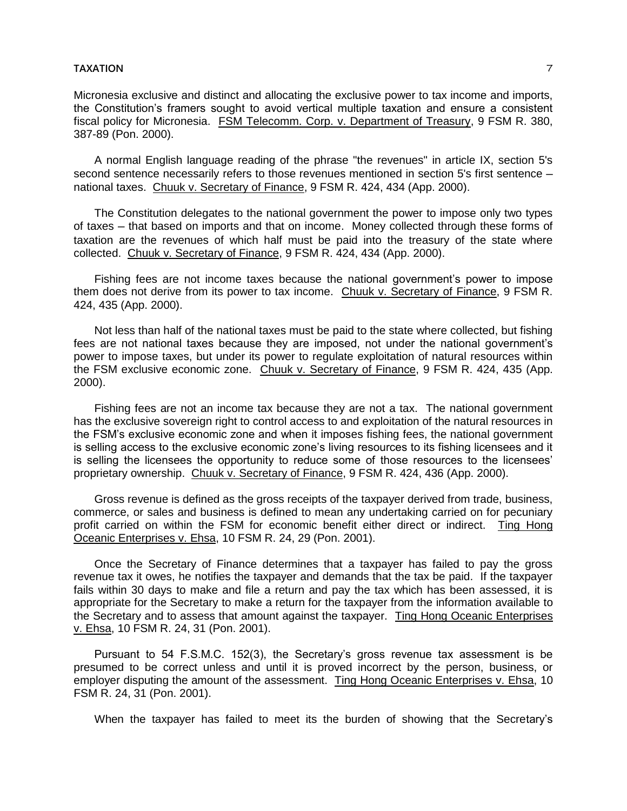Micronesia exclusive and distinct and allocating the exclusive power to tax income and imports, the Constitution's framers sought to avoid vertical multiple taxation and ensure a consistent fiscal policy for Micronesia. FSM Telecomm. Corp. v. Department of Treasury, 9 FSM R. 380, 387-89 (Pon. 2000).

A normal English language reading of the phrase "the revenues" in article IX, section 5's second sentence necessarily refers to those revenues mentioned in section 5's first sentence national taxes. Chuuk v. Secretary of Finance, 9 FSM R. 424, 434 (App. 2000).

The Constitution delegates to the national government the power to impose only two types of taxes ─ that based on imports and that on income. Money collected through these forms of taxation are the revenues of which half must be paid into the treasury of the state where collected. Chuuk v. Secretary of Finance, 9 FSM R. 424, 434 (App. 2000).

Fishing fees are not income taxes because the national government's power to impose them does not derive from its power to tax income. Chuuk v. Secretary of Finance, 9 FSM R. 424, 435 (App. 2000).

Not less than half of the national taxes must be paid to the state where collected, but fishing fees are not national taxes because they are imposed, not under the national government's power to impose taxes, but under its power to regulate exploitation of natural resources within the FSM exclusive economic zone. Chuuk v. Secretary of Finance, 9 FSM R. 424, 435 (App. 2000).

Fishing fees are not an income tax because they are not a tax. The national government has the exclusive sovereign right to control access to and exploitation of the natural resources in the FSM's exclusive economic zone and when it imposes fishing fees, the national government is selling access to the exclusive economic zone's living resources to its fishing licensees and it is selling the licensees the opportunity to reduce some of those resources to the licensees' proprietary ownership. Chuuk v. Secretary of Finance, 9 FSM R. 424, 436 (App. 2000).

Gross revenue is defined as the gross receipts of the taxpayer derived from trade, business, commerce, or sales and business is defined to mean any undertaking carried on for pecuniary profit carried on within the FSM for economic benefit either direct or indirect. Ting Hong Oceanic Enterprises v. Ehsa, 10 FSM R. 24, 29 (Pon. 2001).

Once the Secretary of Finance determines that a taxpayer has failed to pay the gross revenue tax it owes, he notifies the taxpayer and demands that the tax be paid. If the taxpayer fails within 30 days to make and file a return and pay the tax which has been assessed, it is appropriate for the Secretary to make a return for the taxpayer from the information available to the Secretary and to assess that amount against the taxpayer. Ting Hong Oceanic Enterprises v. Ehsa, 10 FSM R. 24, 31 (Pon. 2001).

Pursuant to 54 F.S.M.C. 152(3), the Secretary's gross revenue tax assessment is be presumed to be correct unless and until it is proved incorrect by the person, business, or employer disputing the amount of the assessment. Ting Hong Oceanic Enterprises v. Ehsa, 10 FSM R. 24, 31 (Pon. 2001).

When the taxpayer has failed to meet its the burden of showing that the Secretary's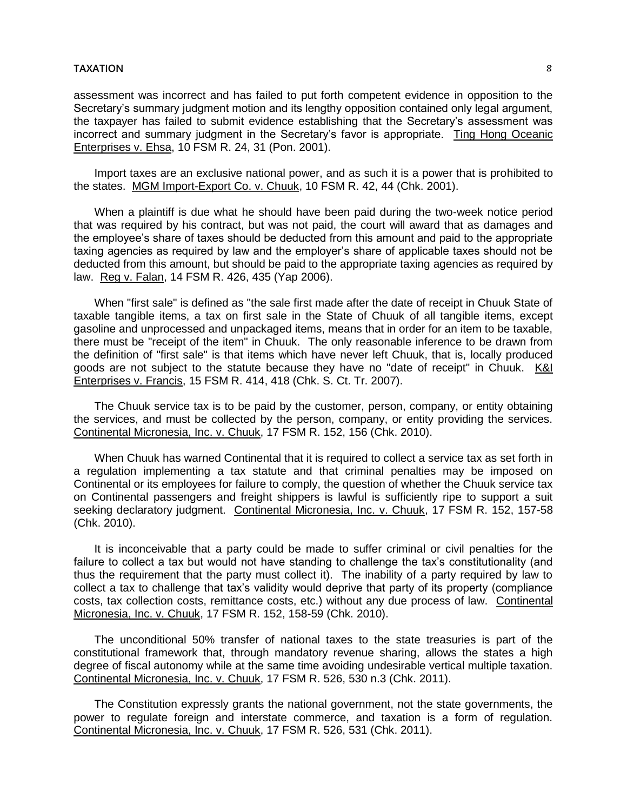assessment was incorrect and has failed to put forth competent evidence in opposition to the Secretary's summary judgment motion and its lengthy opposition contained only legal argument, the taxpayer has failed to submit evidence establishing that the Secretary's assessment was incorrect and summary judgment in the Secretary's favor is appropriate. Ting Hong Oceanic Enterprises v. Ehsa, 10 FSM R. 24, 31 (Pon. 2001).

Import taxes are an exclusive national power, and as such it is a power that is prohibited to the states. MGM Import-Export Co. v. Chuuk, 10 FSM R. 42, 44 (Chk. 2001).

When a plaintiff is due what he should have been paid during the two-week notice period that was required by his contract, but was not paid, the court will award that as damages and the employee's share of taxes should be deducted from this amount and paid to the appropriate taxing agencies as required by law and the employer's share of applicable taxes should not be deducted from this amount, but should be paid to the appropriate taxing agencies as required by law. Reg v. Falan, 14 FSM R. 426, 435 (Yap 2006).

When "first sale" is defined as "the sale first made after the date of receipt in Chuuk State of taxable tangible items, a tax on first sale in the State of Chuuk of all tangible items, except gasoline and unprocessed and unpackaged items, means that in order for an item to be taxable, there must be "receipt of the item" in Chuuk. The only reasonable inference to be drawn from the definition of "first sale" is that items which have never left Chuuk, that is, locally produced goods are not subject to the statute because they have no "date of receipt" in Chuuk. K&I Enterprises v. Francis, 15 FSM R. 414, 418 (Chk. S. Ct. Tr. 2007).

The Chuuk service tax is to be paid by the customer, person, company, or entity obtaining the services, and must be collected by the person, company, or entity providing the services. Continental Micronesia, Inc. v. Chuuk, 17 FSM R. 152, 156 (Chk. 2010).

When Chuuk has warned Continental that it is required to collect a service tax as set forth in a regulation implementing a tax statute and that criminal penalties may be imposed on Continental or its employees for failure to comply, the question of whether the Chuuk service tax on Continental passengers and freight shippers is lawful is sufficiently ripe to support a suit seeking declaratory judgment. Continental Micronesia, Inc. v. Chuuk, 17 FSM R. 152, 157-58 (Chk. 2010).

It is inconceivable that a party could be made to suffer criminal or civil penalties for the failure to collect a tax but would not have standing to challenge the tax's constitutionality (and thus the requirement that the party must collect it). The inability of a party required by law to collect a tax to challenge that tax's validity would deprive that party of its property (compliance costs, tax collection costs, remittance costs, etc.) without any due process of law. Continental Micronesia, Inc. v. Chuuk, 17 FSM R. 152, 158-59 (Chk. 2010).

The unconditional 50% transfer of national taxes to the state treasuries is part of the constitutional framework that, through mandatory revenue sharing, allows the states a high degree of fiscal autonomy while at the same time avoiding undesirable vertical multiple taxation. Continental Micronesia, Inc. v. Chuuk, 17 FSM R. 526, 530 n.3 (Chk. 2011).

The Constitution expressly grants the national government, not the state governments, the power to regulate foreign and interstate commerce, and taxation is a form of regulation. Continental Micronesia, Inc. v. Chuuk, 17 FSM R. 526, 531 (Chk. 2011).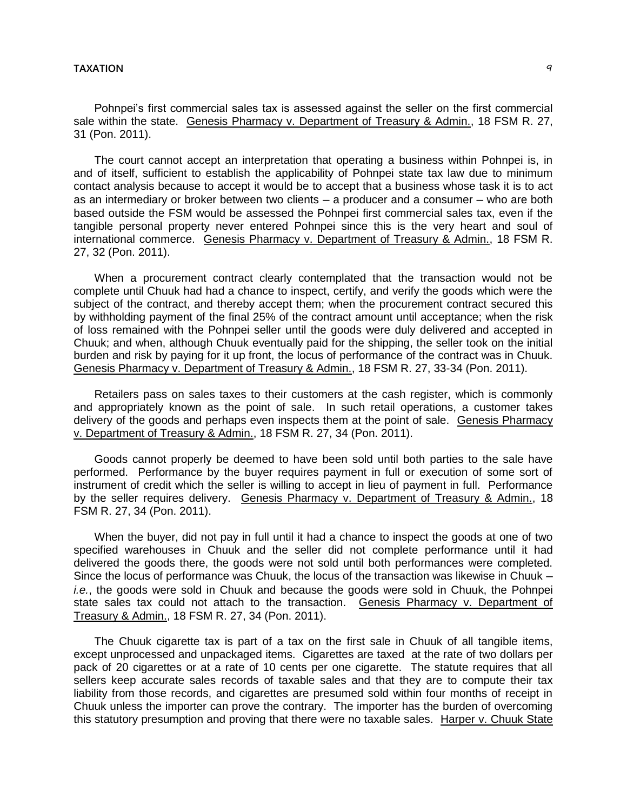Pohnpei's first commercial sales tax is assessed against the seller on the first commercial sale within the state. Genesis Pharmacy v. Department of Treasury & Admin., 18 FSM R. 27, 31 (Pon. 2011).

The court cannot accept an interpretation that operating a business within Pohnpei is, in and of itself, sufficient to establish the applicability of Pohnpei state tax law due to minimum contact analysis because to accept it would be to accept that a business whose task it is to act as an intermediary or broker between two clients — a producer and a consumer — who are both based outside the FSM would be assessed the Pohnpei first commercial sales tax, even if the tangible personal property never entered Pohnpei since this is the very heart and soul of international commerce. Genesis Pharmacy v. Department of Treasury & Admin., 18 FSM R. 27, 32 (Pon. 2011).

When a procurement contract clearly contemplated that the transaction would not be complete until Chuuk had had a chance to inspect, certify, and verify the goods which were the subject of the contract, and thereby accept them; when the procurement contract secured this by withholding payment of the final 25% of the contract amount until acceptance; when the risk of loss remained with the Pohnpei seller until the goods were duly delivered and accepted in Chuuk; and when, although Chuuk eventually paid for the shipping, the seller took on the initial burden and risk by paying for it up front, the locus of performance of the contract was in Chuuk. Genesis Pharmacy v. Department of Treasury & Admin., 18 FSM R. 27, 33-34 (Pon. 2011).

Retailers pass on sales taxes to their customers at the cash register, which is commonly and appropriately known as the point of sale. In such retail operations, a customer takes delivery of the goods and perhaps even inspects them at the point of sale. Genesis Pharmacy v. Department of Treasury & Admin., 18 FSM R. 27, 34 (Pon. 2011).

Goods cannot properly be deemed to have been sold until both parties to the sale have performed. Performance by the buyer requires payment in full or execution of some sort of instrument of credit which the seller is willing to accept in lieu of payment in full. Performance by the seller requires delivery. Genesis Pharmacy v. Department of Treasury & Admin., 18 FSM R. 27, 34 (Pon. 2011).

When the buyer, did not pay in full until it had a chance to inspect the goods at one of two specified warehouses in Chuuk and the seller did not complete performance until it had delivered the goods there, the goods were not sold until both performances were completed. Since the locus of performance was Chuuk, the locus of the transaction was likewise in Chuuk – *i.e.*, the goods were sold in Chuuk and because the goods were sold in Chuuk, the Pohnpei state sales tax could not attach to the transaction. Genesis Pharmacy v. Department of Treasury & Admin., 18 FSM R. 27, 34 (Pon. 2011).

The Chuuk cigarette tax is part of a tax on the first sale in Chuuk of all tangible items, except unprocessed and unpackaged items. Cigarettes are taxed at the rate of two dollars per pack of 20 cigarettes or at a rate of 10 cents per one cigarette. The statute requires that all sellers keep accurate sales records of taxable sales and that they are to compute their tax liability from those records, and cigarettes are presumed sold within four months of receipt in Chuuk unless the importer can prove the contrary. The importer has the burden of overcoming this statutory presumption and proving that there were no taxable sales. Harper v. Chuuk State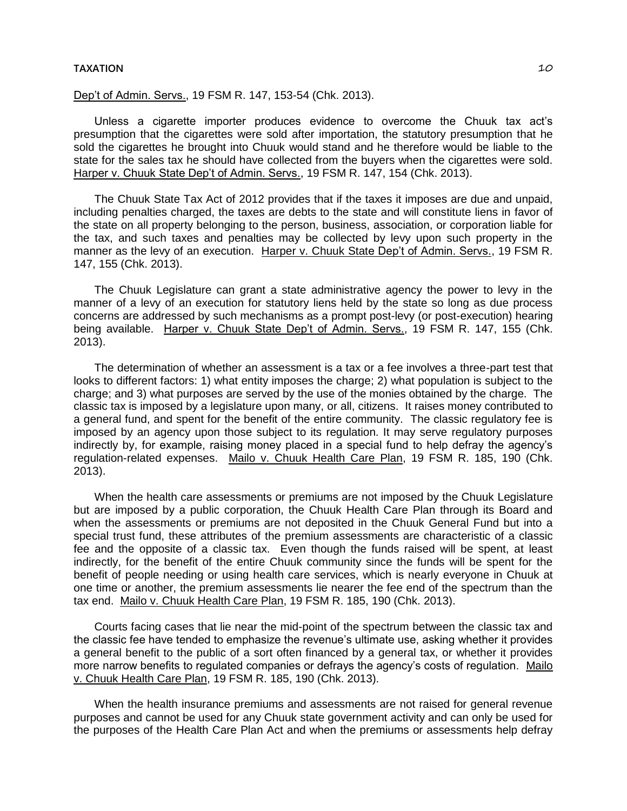Dep't of Admin. Servs., 19 FSM R. 147, 153-54 (Chk. 2013).

Unless a cigarette importer produces evidence to overcome the Chuuk tax act's presumption that the cigarettes were sold after importation, the statutory presumption that he sold the cigarettes he brought into Chuuk would stand and he therefore would be liable to the state for the sales tax he should have collected from the buyers when the cigarettes were sold. Harper v. Chuuk State Dep't of Admin. Servs., 19 FSM R. 147, 154 (Chk. 2013).

The Chuuk State Tax Act of 2012 provides that if the taxes it imposes are due and unpaid, including penalties charged, the taxes are debts to the state and will constitute liens in favor of the state on all property belonging to the person, business, association, or corporation liable for the tax, and such taxes and penalties may be collected by levy upon such property in the manner as the levy of an execution. Harper v. Chuuk State Dep't of Admin. Servs., 19 FSM R. 147, 155 (Chk. 2013).

The Chuuk Legislature can grant a state administrative agency the power to levy in the manner of a levy of an execution for statutory liens held by the state so long as due process concerns are addressed by such mechanisms as a prompt post-levy (or post-execution) hearing being available. Harper v. Chuuk State Dep't of Admin. Servs., 19 FSM R. 147, 155 (Chk. 2013).

The determination of whether an assessment is a tax or a fee involves a three-part test that looks to different factors: 1) what entity imposes the charge; 2) what population is subject to the charge; and 3) what purposes are served by the use of the monies obtained by the charge. The classic tax is imposed by a legislature upon many, or all, citizens. It raises money contributed to a general fund, and spent for the benefit of the entire community. The classic regulatory fee is imposed by an agency upon those subject to its regulation. It may serve regulatory purposes indirectly by, for example, raising money placed in a special fund to help defray the agency's regulation-related expenses. Mailo v. Chuuk Health Care Plan, 19 FSM R. 185, 190 (Chk. 2013).

When the health care assessments or premiums are not imposed by the Chuuk Legislature but are imposed by a public corporation, the Chuuk Health Care Plan through its Board and when the assessments or premiums are not deposited in the Chuuk General Fund but into a special trust fund, these attributes of the premium assessments are characteristic of a classic fee and the opposite of a classic tax. Even though the funds raised will be spent, at least indirectly, for the benefit of the entire Chuuk community since the funds will be spent for the benefit of people needing or using health care services, which is nearly everyone in Chuuk at one time or another, the premium assessments lie nearer the fee end of the spectrum than the tax end. Mailo v. Chuuk Health Care Plan, 19 FSM R. 185, 190 (Chk. 2013).

Courts facing cases that lie near the mid-point of the spectrum between the classic tax and the classic fee have tended to emphasize the revenue's ultimate use, asking whether it provides a general benefit to the public of a sort often financed by a general tax, or whether it provides more narrow benefits to regulated companies or defrays the agency's costs of regulation. Mailo v. Chuuk Health Care Plan, 19 FSM R. 185, 190 (Chk. 2013).

When the health insurance premiums and assessments are not raised for general revenue purposes and cannot be used for any Chuuk state government activity and can only be used for the purposes of the Health Care Plan Act and when the premiums or assessments help defray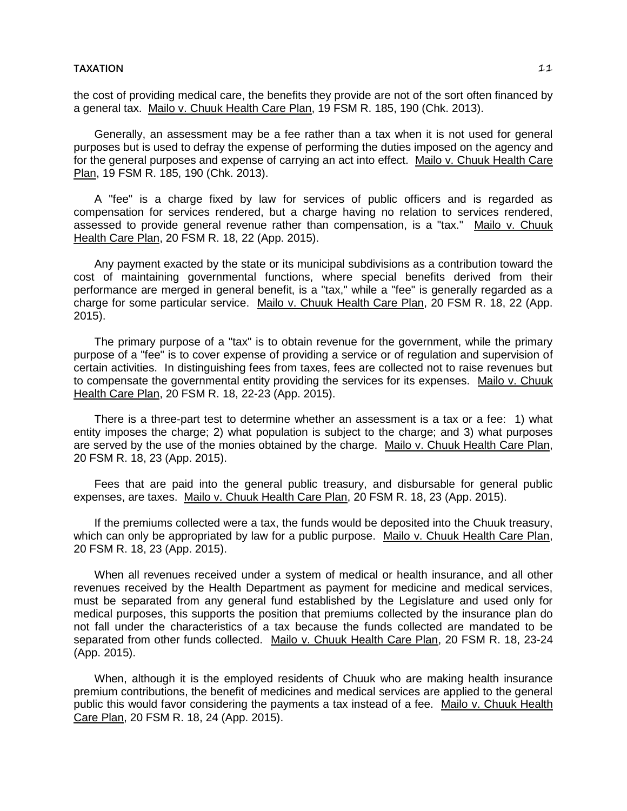the cost of providing medical care, the benefits they provide are not of the sort often financed by a general tax. Mailo v. Chuuk Health Care Plan, 19 FSM R. 185, 190 (Chk. 2013).

Generally, an assessment may be a fee rather than a tax when it is not used for general purposes but is used to defray the expense of performing the duties imposed on the agency and for the general purposes and expense of carrying an act into effect. Mailo v. Chuuk Health Care Plan, 19 FSM R. 185, 190 (Chk. 2013).

A "fee" is a charge fixed by law for services of public officers and is regarded as compensation for services rendered, but a charge having no relation to services rendered, assessed to provide general revenue rather than compensation, is a "tax." Mailo v. Chuuk Health Care Plan, 20 FSM R. 18, 22 (App. 2015).

Any payment exacted by the state or its municipal subdivisions as a contribution toward the cost of maintaining governmental functions, where special benefits derived from their performance are merged in general benefit, is a "tax," while a "fee" is generally regarded as a charge for some particular service. Mailo v. Chuuk Health Care Plan, 20 FSM R. 18, 22 (App. 2015).

The primary purpose of a "tax" is to obtain revenue for the government, while the primary purpose of a "fee" is to cover expense of providing a service or of regulation and supervision of certain activities. In distinguishing fees from taxes, fees are collected not to raise revenues but to compensate the governmental entity providing the services for its expenses. Mailo v. Chuuk Health Care Plan, 20 FSM R. 18, 22-23 (App. 2015).

There is a three-part test to determine whether an assessment is a tax or a fee: 1) what entity imposes the charge; 2) what population is subject to the charge; and 3) what purposes are served by the use of the monies obtained by the charge. Mailo v. Chuuk Health Care Plan, 20 FSM R. 18, 23 (App. 2015).

Fees that are paid into the general public treasury, and disbursable for general public expenses, are taxes. Mailo v. Chuuk Health Care Plan, 20 FSM R. 18, 23 (App. 2015).

If the premiums collected were a tax, the funds would be deposited into the Chuuk treasury, which can only be appropriated by law for a public purpose. Mailo v. Chuuk Health Care Plan, 20 FSM R. 18, 23 (App. 2015).

When all revenues received under a system of medical or health insurance, and all other revenues received by the Health Department as payment for medicine and medical services, must be separated from any general fund established by the Legislature and used only for medical purposes, this supports the position that premiums collected by the insurance plan do not fall under the characteristics of a tax because the funds collected are mandated to be separated from other funds collected. Mailo v. Chuuk Health Care Plan, 20 FSM R. 18, 23-24 (App. 2015).

When, although it is the employed residents of Chuuk who are making health insurance premium contributions, the benefit of medicines and medical services are applied to the general public this would favor considering the payments a tax instead of a fee. Mailo v. Chuuk Health Care Plan, 20 FSM R. 18, 24 (App. 2015).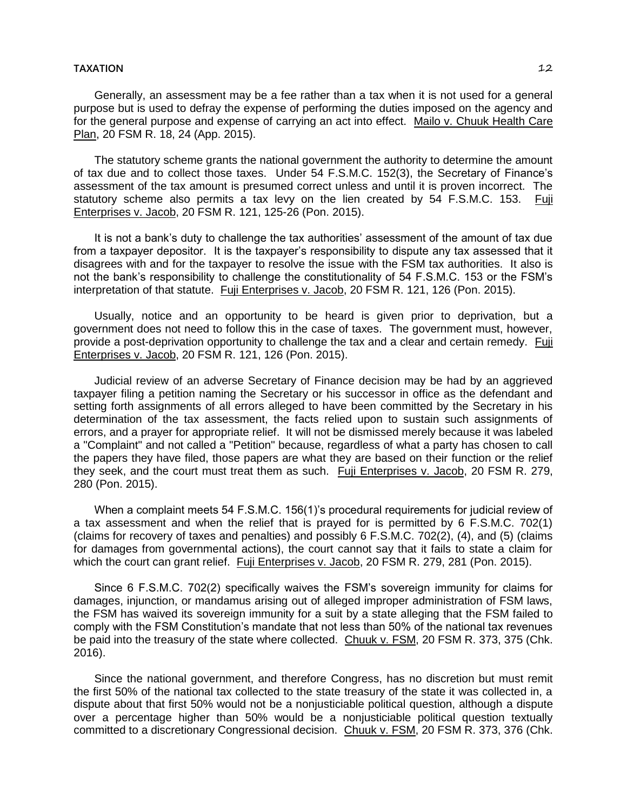Generally, an assessment may be a fee rather than a tax when it is not used for a general purpose but is used to defray the expense of performing the duties imposed on the agency and for the general purpose and expense of carrying an act into effect. Mailo v. Chuuk Health Care Plan, 20 FSM R. 18, 24 (App. 2015).

The statutory scheme grants the national government the authority to determine the amount of tax due and to collect those taxes. Under 54 F.S.M.C. 152(3), the Secretary of Finance's assessment of the tax amount is presumed correct unless and until it is proven incorrect. The statutory scheme also permits a tax levy on the lien created by 54 F.S.M.C. 153. Fuji Enterprises v. Jacob, 20 FSM R. 121, 125-26 (Pon. 2015).

It is not a bank's duty to challenge the tax authorities' assessment of the amount of tax due from a taxpayer depositor. It is the taxpayer's responsibility to dispute any tax assessed that it disagrees with and for the taxpayer to resolve the issue with the FSM tax authorities. It also is not the bank's responsibility to challenge the constitutionality of 54 F.S.M.C. 153 or the FSM's interpretation of that statute. Fuji Enterprises v. Jacob, 20 FSM R. 121, 126 (Pon. 2015).

Usually, notice and an opportunity to be heard is given prior to deprivation, but a government does not need to follow this in the case of taxes. The government must, however, provide a post-deprivation opportunity to challenge the tax and a clear and certain remedy. Fuji Enterprises v. Jacob, 20 FSM R. 121, 126 (Pon. 2015).

Judicial review of an adverse Secretary of Finance decision may be had by an aggrieved taxpayer filing a petition naming the Secretary or his successor in office as the defendant and setting forth assignments of all errors alleged to have been committed by the Secretary in his determination of the tax assessment, the facts relied upon to sustain such assignments of errors, and a prayer for appropriate relief. It will not be dismissed merely because it was labeled a "Complaint" and not called a "Petition" because, regardless of what a party has chosen to call the papers they have filed, those papers are what they are based on their function or the relief they seek, and the court must treat them as such. Fuji Enterprises v. Jacob, 20 FSM R. 279, 280 (Pon. 2015).

When a complaint meets 54 F.S.M.C. 156(1)'s procedural requirements for judicial review of a tax assessment and when the relief that is prayed for is permitted by 6 F.S.M.C. 702(1) (claims for recovery of taxes and penalties) and possibly 6 F.S.M.C. 702(2), (4), and (5) (claims for damages from governmental actions), the court cannot say that it fails to state a claim for which the court can grant relief. Fuji Enterprises v. Jacob, 20 FSM R. 279, 281 (Pon. 2015).

Since 6 F.S.M.C. 702(2) specifically waives the FSM's sovereign immunity for claims for damages, injunction, or mandamus arising out of alleged improper administration of FSM laws, the FSM has waived its sovereign immunity for a suit by a state alleging that the FSM failed to comply with the FSM Constitution's mandate that not less than 50% of the national tax revenues be paid into the treasury of the state where collected. Chuuk v. FSM, 20 FSM R. 373, 375 (Chk. 2016).

Since the national government, and therefore Congress, has no discretion but must remit the first 50% of the national tax collected to the state treasury of the state it was collected in, a dispute about that first 50% would not be a nonjusticiable political question, although a dispute over a percentage higher than 50% would be a nonjusticiable political question textually committed to a discretionary Congressional decision. Chuuk v. FSM, 20 FSM R. 373, 376 (Chk.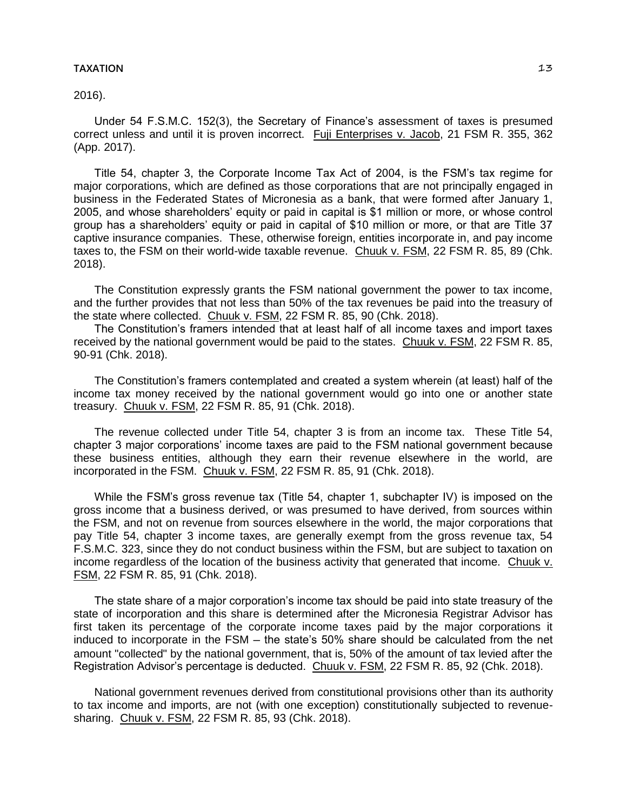# 2016).

Under 54 F.S.M.C. 152(3), the Secretary of Finance's assessment of taxes is presumed correct unless and until it is proven incorrect. Fuji Enterprises v. Jacob, 21 FSM R. 355, 362 (App. 2017).

Title 54, chapter 3, the Corporate Income Tax Act of 2004, is the FSM's tax regime for major corporations, which are defined as those corporations that are not principally engaged in business in the Federated States of Micronesia as a bank, that were formed after January 1, 2005, and whose shareholders' equity or paid in capital is \$1 million or more, or whose control group has a shareholders' equity or paid in capital of \$10 million or more, or that are Title 37 captive insurance companies. These, otherwise foreign, entities incorporate in, and pay income taxes to, the FSM on their world-wide taxable revenue. Chuuk v. FSM, 22 FSM R. 85, 89 (Chk. 2018).

The Constitution expressly grants the FSM national government the power to tax income, and the further provides that not less than 50% of the tax revenues be paid into the treasury of the state where collected. Chuuk v. FSM, 22 FSM R. 85, 90 (Chk. 2018).

The Constitution's framers intended that at least half of all income taxes and import taxes received by the national government would be paid to the states. Chuuk v. FSM, 22 FSM R. 85, 90-91 (Chk. 2018).

The Constitution's framers contemplated and created a system wherein (at least) half of the income tax money received by the national government would go into one or another state treasury. Chuuk v. FSM, 22 FSM R. 85, 91 (Chk. 2018).

The revenue collected under Title 54, chapter 3 is from an income tax. These Title 54, chapter 3 major corporations' income taxes are paid to the FSM national government because these business entities, although they earn their revenue elsewhere in the world, are incorporated in the FSM. Chuuk v. FSM, 22 FSM R. 85, 91 (Chk. 2018).

While the FSM's gross revenue tax (Title 54, chapter 1, subchapter IV) is imposed on the gross income that a business derived, or was presumed to have derived, from sources within the FSM, and not on revenue from sources elsewhere in the world, the major corporations that pay Title 54, chapter 3 income taxes, are generally exempt from the gross revenue tax, 54 F.S.M.C. 323, since they do not conduct business within the FSM, but are subject to taxation on income regardless of the location of the business activity that generated that income. Chuuk v. FSM, 22 FSM R. 85, 91 (Chk. 2018).

The state share of a major corporation's income tax should be paid into state treasury of the state of incorporation and this share is determined after the Micronesia Registrar Advisor has first taken its percentage of the corporate income taxes paid by the major corporations it induced to incorporate in the FSM – the state's 50% share should be calculated from the net amount "collected" by the national government, that is, 50% of the amount of tax levied after the Registration Advisor's percentage is deducted. Chuuk v. FSM, 22 FSM R. 85, 92 (Chk. 2018).

National government revenues derived from constitutional provisions other than its authority to tax income and imports, are not (with one exception) constitutionally subjected to revenuesharing. Chuuk v. FSM, 22 FSM R. 85, 93 (Chk. 2018).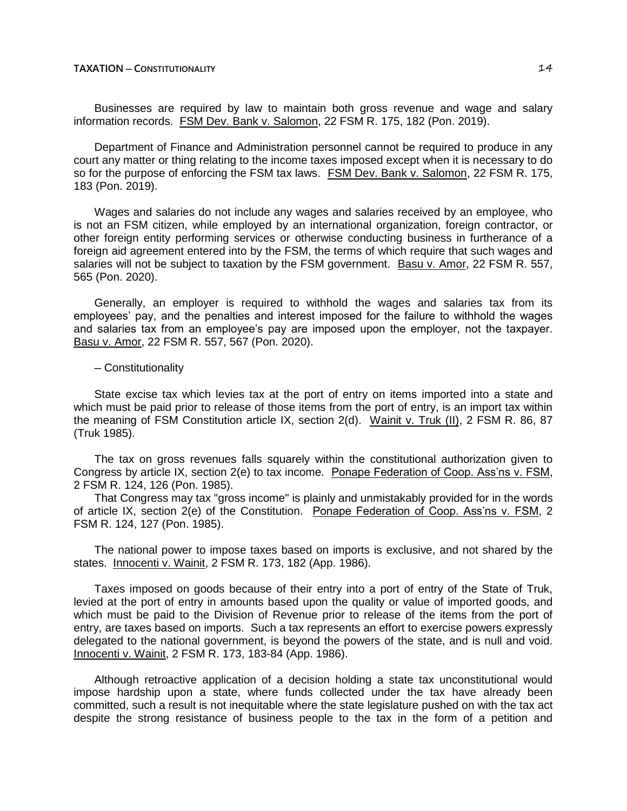Businesses are required by law to maintain both gross revenue and wage and salary information records. FSM Dev. Bank v. Salomon, 22 FSM R. 175, 182 (Pon. 2019).

Department of Finance and Administration personnel cannot be required to produce in any court any matter or thing relating to the income taxes imposed except when it is necessary to do so for the purpose of enforcing the FSM tax laws. FSM Dev. Bank v. Salomon, 22 FSM R. 175, 183 (Pon. 2019).

Wages and salaries do not include any wages and salaries received by an employee, who is not an FSM citizen, while employed by an international organization, foreign contractor, or other foreign entity performing services or otherwise conducting business in furtherance of a foreign aid agreement entered into by the FSM, the terms of which require that such wages and salaries will not be subject to taxation by the FSM government. Basu v. Amor, 22 FSM R. 557, 565 (Pon. 2020).

Generally, an employer is required to withhold the wages and salaries tax from its employees' pay, and the penalties and interest imposed for the failure to withhold the wages and salaries tax from an employee's pay are imposed upon the employer, not the taxpayer. Basu v. Amor, 22 FSM R. 557, 567 (Pon. 2020).

# ─ Constitutionality

State excise tax which levies tax at the port of entry on items imported into a state and which must be paid prior to release of those items from the port of entry, is an import tax within the meaning of FSM Constitution article IX, section 2(d). Wainit v. Truk (II), 2 FSM R. 86, 87 (Truk 1985).

The tax on gross revenues falls squarely within the constitutional authorization given to Congress by article IX, section 2(e) to tax income. Ponape Federation of Coop. Ass'ns v. FSM, 2 FSM R. 124, 126 (Pon. 1985).

That Congress may tax "gross income" is plainly and unmistakably provided for in the words of article IX, section 2(e) of the Constitution. Ponape Federation of Coop. Ass'ns v. FSM, 2 FSM R. 124, 127 (Pon. 1985).

The national power to impose taxes based on imports is exclusive, and not shared by the states. Innocenti v. Wainit, 2 FSM R. 173, 182 (App. 1986).

Taxes imposed on goods because of their entry into a port of entry of the State of Truk, levied at the port of entry in amounts based upon the quality or value of imported goods, and which must be paid to the Division of Revenue prior to release of the items from the port of entry, are taxes based on imports. Such a tax represents an effort to exercise powers expressly delegated to the national government, is beyond the powers of the state, and is null and void. Innocenti v. Wainit, 2 FSM R. 173, 183-84 (App. 1986).

Although retroactive application of a decision holding a state tax unconstitutional would impose hardship upon a state, where funds collected under the tax have already been committed, such a result is not inequitable where the state legislature pushed on with the tax act despite the strong resistance of business people to the tax in the form of a petition and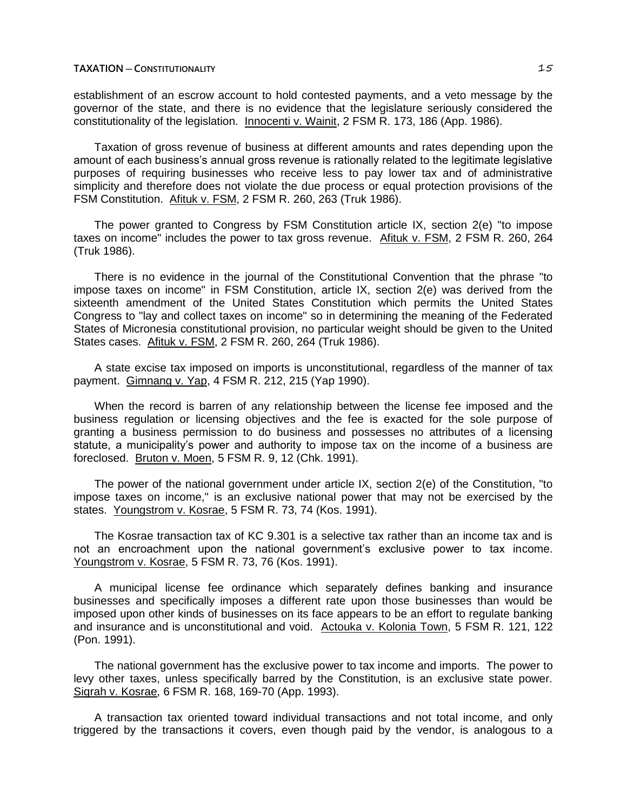establishment of an escrow account to hold contested payments, and a veto message by the governor of the state, and there is no evidence that the legislature seriously considered the constitutionality of the legislation. Innocenti v. Wainit, 2 FSM R. 173, 186 (App. 1986).

Taxation of gross revenue of business at different amounts and rates depending upon the amount of each business's annual gross revenue is rationally related to the legitimate legislative purposes of requiring businesses who receive less to pay lower tax and of administrative simplicity and therefore does not violate the due process or equal protection provisions of the FSM Constitution. Afituk v. FSM, 2 FSM R. 260, 263 (Truk 1986).

The power granted to Congress by FSM Constitution article IX, section 2(e) "to impose taxes on income" includes the power to tax gross revenue. Afituk v. FSM, 2 FSM R. 260, 264 (Truk 1986).

There is no evidence in the journal of the Constitutional Convention that the phrase "to impose taxes on income" in FSM Constitution, article IX, section 2(e) was derived from the sixteenth amendment of the United States Constitution which permits the United States Congress to "lay and collect taxes on income" so in determining the meaning of the Federated States of Micronesia constitutional provision, no particular weight should be given to the United States cases. Afituk v. FSM, 2 FSM R. 260, 264 (Truk 1986).

A state excise tax imposed on imports is unconstitutional, regardless of the manner of tax payment. Gimnang v. Yap, 4 FSM R. 212, 215 (Yap 1990).

When the record is barren of any relationship between the license fee imposed and the business regulation or licensing objectives and the fee is exacted for the sole purpose of granting a business permission to do business and possesses no attributes of a licensing statute, a municipality's power and authority to impose tax on the income of a business are foreclosed. Bruton v. Moen, 5 FSM R. 9, 12 (Chk. 1991).

The power of the national government under article IX, section 2(e) of the Constitution, "to impose taxes on income," is an exclusive national power that may not be exercised by the states. Youngstrom v. Kosrae, 5 FSM R. 73, 74 (Kos. 1991).

The Kosrae transaction tax of KC 9.301 is a selective tax rather than an income tax and is not an encroachment upon the national government's exclusive power to tax income. Youngstrom v. Kosrae, 5 FSM R. 73, 76 (Kos. 1991).

A municipal license fee ordinance which separately defines banking and insurance businesses and specifically imposes a different rate upon those businesses than would be imposed upon other kinds of businesses on its face appears to be an effort to regulate banking and insurance and is unconstitutional and void. Actouka v. Kolonia Town, 5 FSM R. 121, 122 (Pon. 1991).

The national government has the exclusive power to tax income and imports. The power to levy other taxes, unless specifically barred by the Constitution, is an exclusive state power. Sigrah v. Kosrae, 6 FSM R. 168, 169-70 (App. 1993).

A transaction tax oriented toward individual transactions and not total income, and only triggered by the transactions it covers, even though paid by the vendor, is analogous to a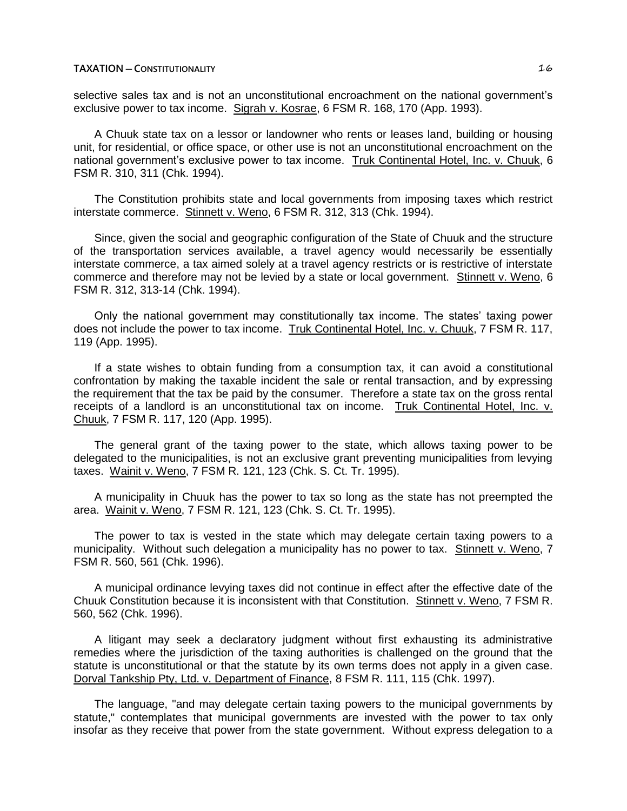selective sales tax and is not an unconstitutional encroachment on the national government's exclusive power to tax income. Sigrah v. Kosrae, 6 FSM R. 168, 170 (App. 1993).

A Chuuk state tax on a lessor or landowner who rents or leases land, building or housing unit, for residential, or office space, or other use is not an unconstitutional encroachment on the national government's exclusive power to tax income. Truk Continental Hotel, Inc. v. Chuuk, 6 FSM R. 310, 311 (Chk. 1994).

The Constitution prohibits state and local governments from imposing taxes which restrict interstate commerce. Stinnett v. Weno, 6 FSM R. 312, 313 (Chk. 1994).

Since, given the social and geographic configuration of the State of Chuuk and the structure of the transportation services available, a travel agency would necessarily be essentially interstate commerce, a tax aimed solely at a travel agency restricts or is restrictive of interstate commerce and therefore may not be levied by a state or local government. Stinnett v. Weno, 6 FSM R. 312, 313-14 (Chk. 1994).

Only the national government may constitutionally tax income. The states' taxing power does not include the power to tax income. Truk Continental Hotel, Inc. v. Chuuk, 7 FSM R. 117, 119 (App. 1995).

If a state wishes to obtain funding from a consumption tax, it can avoid a constitutional confrontation by making the taxable incident the sale or rental transaction, and by expressing the requirement that the tax be paid by the consumer. Therefore a state tax on the gross rental receipts of a landlord is an unconstitutional tax on income. Truk Continental Hotel, Inc. v. Chuuk, 7 FSM R. 117, 120 (App. 1995).

The general grant of the taxing power to the state, which allows taxing power to be delegated to the municipalities, is not an exclusive grant preventing municipalities from levying taxes. Wainit v. Weno, 7 FSM R. 121, 123 (Chk. S. Ct. Tr. 1995).

A municipality in Chuuk has the power to tax so long as the state has not preempted the area. Wainit v. Weno, 7 FSM R. 121, 123 (Chk. S. Ct. Tr. 1995).

The power to tax is vested in the state which may delegate certain taxing powers to a municipality. Without such delegation a municipality has no power to tax. Stinnett v. Weno, 7 FSM R. 560, 561 (Chk. 1996).

A municipal ordinance levying taxes did not continue in effect after the effective date of the Chuuk Constitution because it is inconsistent with that Constitution. Stinnett v. Weno, 7 FSM R. 560, 562 (Chk. 1996).

A litigant may seek a declaratory judgment without first exhausting its administrative remedies where the jurisdiction of the taxing authorities is challenged on the ground that the statute is unconstitutional or that the statute by its own terms does not apply in a given case. Dorval Tankship Pty, Ltd. v. Department of Finance, 8 FSM R. 111, 115 (Chk. 1997).

The language, "and may delegate certain taxing powers to the municipal governments by statute," contemplates that municipal governments are invested with the power to tax only insofar as they receive that power from the state government. Without express delegation to a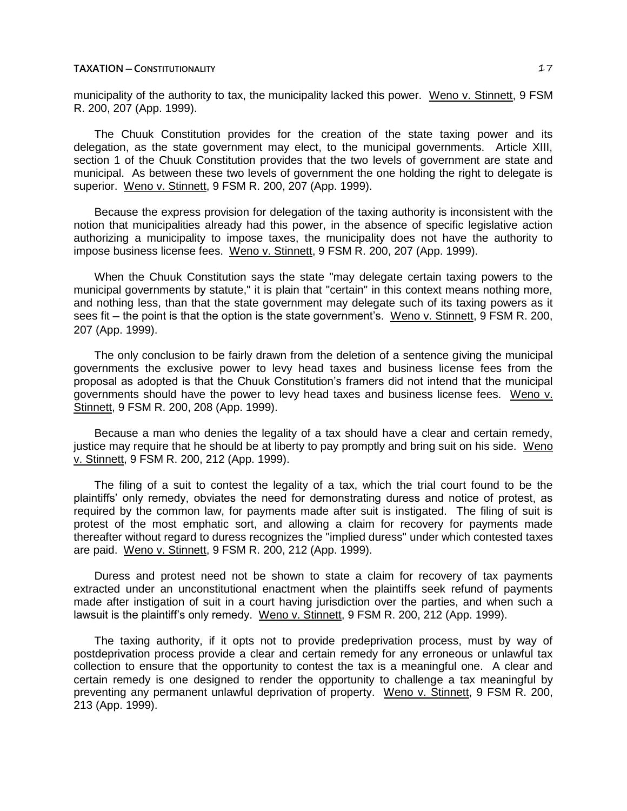municipality of the authority to tax, the municipality lacked this power. Weno v. Stinnett, 9 FSM R. 200, 207 (App. 1999).

The Chuuk Constitution provides for the creation of the state taxing power and its delegation, as the state government may elect, to the municipal governments. Article XIII, section 1 of the Chuuk Constitution provides that the two levels of government are state and municipal. As between these two levels of government the one holding the right to delegate is superior. Weno v. Stinnett, 9 FSM R. 200, 207 (App. 1999).

Because the express provision for delegation of the taxing authority is inconsistent with the notion that municipalities already had this power, in the absence of specific legislative action authorizing a municipality to impose taxes, the municipality does not have the authority to impose business license fees. Weno v. Stinnett, 9 FSM R. 200, 207 (App. 1999).

When the Chuuk Constitution says the state "may delegate certain taxing powers to the municipal governments by statute," it is plain that "certain" in this context means nothing more, and nothing less, than that the state government may delegate such of its taxing powers as it sees fit – the point is that the option is the state government's. Weno v. Stinnett, 9 FSM R. 200, 207 (App. 1999).

The only conclusion to be fairly drawn from the deletion of a sentence giving the municipal governments the exclusive power to levy head taxes and business license fees from the proposal as adopted is that the Chuuk Constitution's framers did not intend that the municipal governments should have the power to levy head taxes and business license fees. Weno v. Stinnett, 9 FSM R. 200, 208 (App. 1999).

Because a man who denies the legality of a tax should have a clear and certain remedy, justice may require that he should be at liberty to pay promptly and bring suit on his side. Weno v. Stinnett, 9 FSM R. 200, 212 (App. 1999).

The filing of a suit to contest the legality of a tax, which the trial court found to be the plaintiffs' only remedy, obviates the need for demonstrating duress and notice of protest, as required by the common law, for payments made after suit is instigated. The filing of suit is protest of the most emphatic sort, and allowing a claim for recovery for payments made thereafter without regard to duress recognizes the "implied duress" under which contested taxes are paid. Weno v. Stinnett, 9 FSM R. 200, 212 (App. 1999).

Duress and protest need not be shown to state a claim for recovery of tax payments extracted under an unconstitutional enactment when the plaintiffs seek refund of payments made after instigation of suit in a court having jurisdiction over the parties, and when such a lawsuit is the plaintiff's only remedy. Weno v. Stinnett, 9 FSM R. 200, 212 (App. 1999).

The taxing authority, if it opts not to provide predeprivation process, must by way of postdeprivation process provide a clear and certain remedy for any erroneous or unlawful tax collection to ensure that the opportunity to contest the tax is a meaningful one. A clear and certain remedy is one designed to render the opportunity to challenge a tax meaningful by preventing any permanent unlawful deprivation of property. Weno v. Stinnett, 9 FSM R. 200, 213 (App. 1999).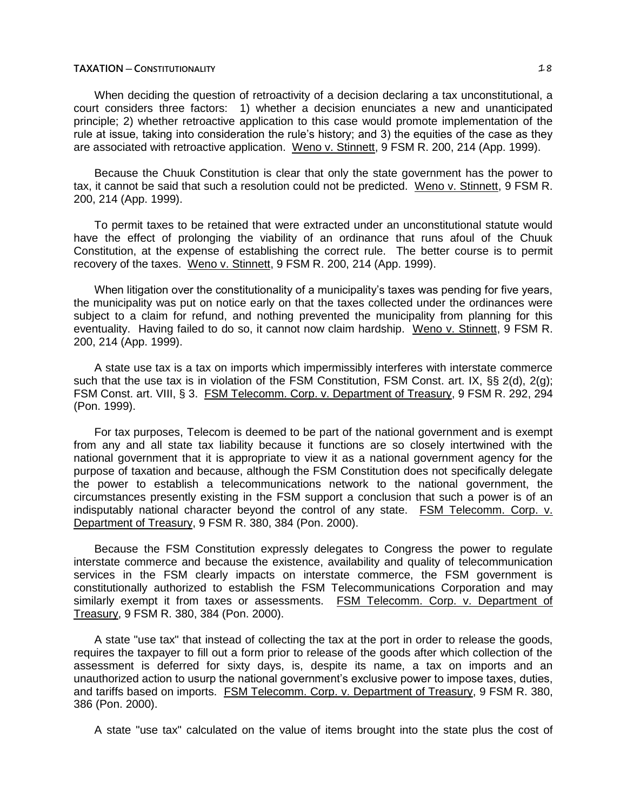When deciding the question of retroactivity of a decision declaring a tax unconstitutional, a court considers three factors: 1) whether a decision enunciates a new and unanticipated principle; 2) whether retroactive application to this case would promote implementation of the rule at issue, taking into consideration the rule's history; and 3) the equities of the case as they are associated with retroactive application. Weno v. Stinnett, 9 FSM R. 200, 214 (App. 1999).

Because the Chuuk Constitution is clear that only the state government has the power to tax, it cannot be said that such a resolution could not be predicted. Weno v. Stinnett, 9 FSM R. 200, 214 (App. 1999).

To permit taxes to be retained that were extracted under an unconstitutional statute would have the effect of prolonging the viability of an ordinance that runs afoul of the Chuuk Constitution, at the expense of establishing the correct rule. The better course is to permit recovery of the taxes. Weno v. Stinnett, 9 FSM R. 200, 214 (App. 1999).

When litigation over the constitutionality of a municipality's taxes was pending for five years, the municipality was put on notice early on that the taxes collected under the ordinances were subject to a claim for refund, and nothing prevented the municipality from planning for this eventuality. Having failed to do so, it cannot now claim hardship. Weno v. Stinnett, 9 FSM R. 200, 214 (App. 1999).

A state use tax is a tax on imports which impermissibly interferes with interstate commerce such that the use tax is in violation of the FSM Constitution, FSM Const. art. IX, §§ 2(d), 2(g); FSM Const. art. VIII, § 3. FSM Telecomm. Corp. v. Department of Treasury, 9 FSM R. 292, 294 (Pon. 1999).

For tax purposes, Telecom is deemed to be part of the national government and is exempt from any and all state tax liability because it functions are so closely intertwined with the national government that it is appropriate to view it as a national government agency for the purpose of taxation and because, although the FSM Constitution does not specifically delegate the power to establish a telecommunications network to the national government, the circumstances presently existing in the FSM support a conclusion that such a power is of an indisputably national character beyond the control of any state. FSM Telecomm. Corp. v. Department of Treasury, 9 FSM R. 380, 384 (Pon. 2000).

Because the FSM Constitution expressly delegates to Congress the power to regulate interstate commerce and because the existence, availability and quality of telecommunication services in the FSM clearly impacts on interstate commerce, the FSM government is constitutionally authorized to establish the FSM Telecommunications Corporation and may similarly exempt it from taxes or assessments. FSM Telecomm. Corp. v. Department of Treasury, 9 FSM R. 380, 384 (Pon. 2000).

A state "use tax" that instead of collecting the tax at the port in order to release the goods, requires the taxpayer to fill out a form prior to release of the goods after which collection of the assessment is deferred for sixty days, is, despite its name, a tax on imports and an unauthorized action to usurp the national government's exclusive power to impose taxes, duties, and tariffs based on imports. FSM Telecomm. Corp. v. Department of Treasury, 9 FSM R. 380, 386 (Pon. 2000).

A state "use tax" calculated on the value of items brought into the state plus the cost of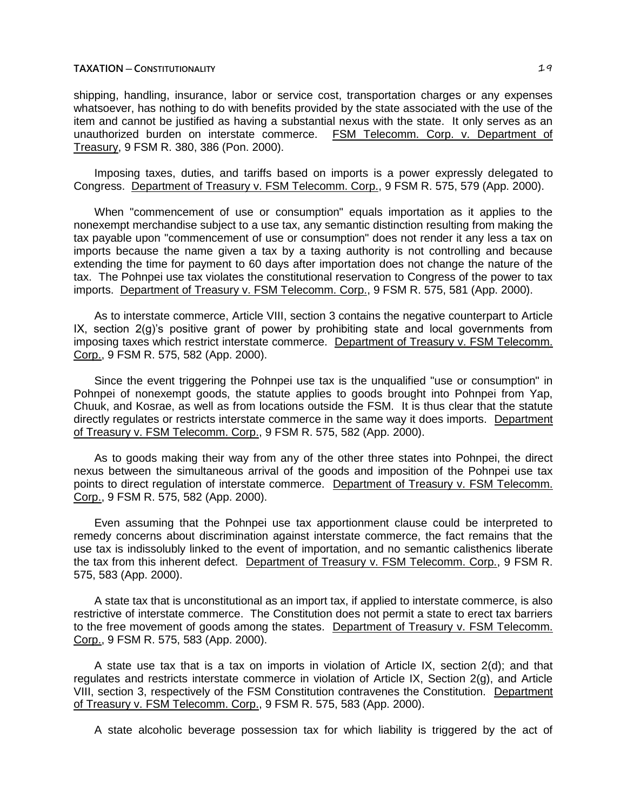shipping, handling, insurance, labor or service cost, transportation charges or any expenses whatsoever, has nothing to do with benefits provided by the state associated with the use of the item and cannot be justified as having a substantial nexus with the state. It only serves as an unauthorized burden on interstate commerce. FSM Telecomm. Corp. v. Department of Treasury, 9 FSM R. 380, 386 (Pon. 2000).

Imposing taxes, duties, and tariffs based on imports is a power expressly delegated to Congress. Department of Treasury v. FSM Telecomm. Corp., 9 FSM R. 575, 579 (App. 2000).

When "commencement of use or consumption" equals importation as it applies to the nonexempt merchandise subject to a use tax, any semantic distinction resulting from making the tax payable upon "commencement of use or consumption" does not render it any less a tax on imports because the name given a tax by a taxing authority is not controlling and because extending the time for payment to 60 days after importation does not change the nature of the tax. The Pohnpei use tax violates the constitutional reservation to Congress of the power to tax imports. Department of Treasury v. FSM Telecomm. Corp., 9 FSM R. 575, 581 (App. 2000).

As to interstate commerce, Article VIII, section 3 contains the negative counterpart to Article IX, section 2(g)'s positive grant of power by prohibiting state and local governments from imposing taxes which restrict interstate commerce. Department of Treasury v. FSM Telecomm. Corp., 9 FSM R. 575, 582 (App. 2000).

Since the event triggering the Pohnpei use tax is the unqualified "use or consumption" in Pohnpei of nonexempt goods, the statute applies to goods brought into Pohnpei from Yap, Chuuk, and Kosrae, as well as from locations outside the FSM. It is thus clear that the statute directly regulates or restricts interstate commerce in the same way it does imports. Department of Treasury v. FSM Telecomm. Corp., 9 FSM R. 575, 582 (App. 2000).

As to goods making their way from any of the other three states into Pohnpei, the direct nexus between the simultaneous arrival of the goods and imposition of the Pohnpei use tax points to direct regulation of interstate commerce. Department of Treasury v. FSM Telecomm. Corp., 9 FSM R. 575, 582 (App. 2000).

Even assuming that the Pohnpei use tax apportionment clause could be interpreted to remedy concerns about discrimination against interstate commerce, the fact remains that the use tax is indissolubly linked to the event of importation, and no semantic calisthenics liberate the tax from this inherent defect. Department of Treasury v. FSM Telecomm. Corp., 9 FSM R. 575, 583 (App. 2000).

A state tax that is unconstitutional as an import tax, if applied to interstate commerce, is also restrictive of interstate commerce. The Constitution does not permit a state to erect tax barriers to the free movement of goods among the states. Department of Treasury v. FSM Telecomm. Corp., 9 FSM R. 575, 583 (App. 2000).

A state use tax that is a tax on imports in violation of Article IX, section 2(d); and that regulates and restricts interstate commerce in violation of Article IX, Section 2(g), and Article VIII, section 3, respectively of the FSM Constitution contravenes the Constitution. Department of Treasury v. FSM Telecomm. Corp., 9 FSM R. 575, 583 (App. 2000).

A state alcoholic beverage possession tax for which liability is triggered by the act of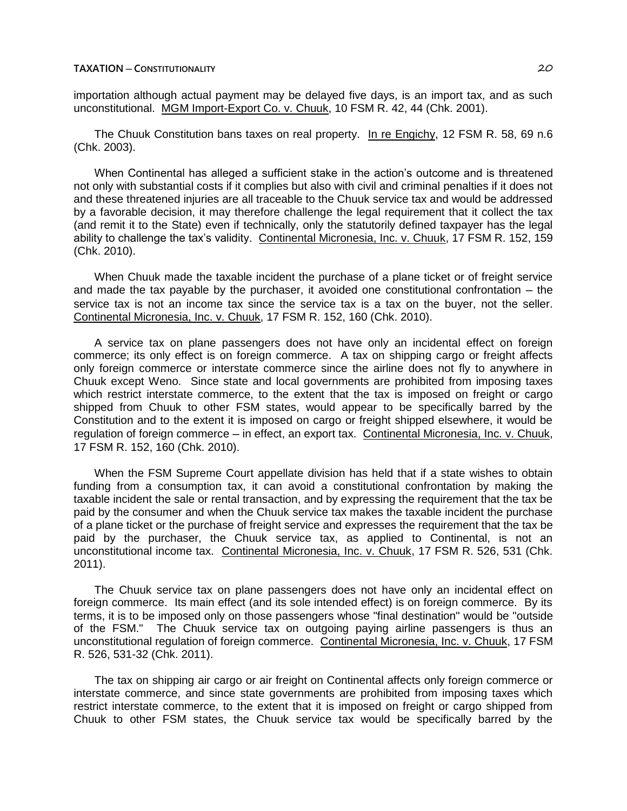importation although actual payment may be delayed five days, is an import tax, and as such unconstitutional. MGM Import-Export Co. v. Chuuk, 10 FSM R. 42, 44 (Chk. 2001).

The Chuuk Constitution bans taxes on real property. In re Engichy, 12 FSM R. 58, 69 n.6 (Chk. 2003).

When Continental has alleged a sufficient stake in the action's outcome and is threatened not only with substantial costs if it complies but also with civil and criminal penalties if it does not and these threatened injuries are all traceable to the Chuuk service tax and would be addressed by a favorable decision, it may therefore challenge the legal requirement that it collect the tax (and remit it to the State) even if technically, only the statutorily defined taxpayer has the legal ability to challenge the tax's validity. Continental Micronesia, Inc. v. Chuuk, 17 FSM R. 152, 159 (Chk. 2010).

When Chuuk made the taxable incident the purchase of a plane ticket or of freight service and made the tax payable by the purchaser, it avoided one constitutional confrontation  $-$  the service tax is not an income tax since the service tax is a tax on the buyer, not the seller. Continental Micronesia, Inc. v. Chuuk, 17 FSM R. 152, 160 (Chk. 2010).

A service tax on plane passengers does not have only an incidental effect on foreign commerce; its only effect is on foreign commerce. A tax on shipping cargo or freight affects only foreign commerce or interstate commerce since the airline does not fly to anywhere in Chuuk except Weno. Since state and local governments are prohibited from imposing taxes which restrict interstate commerce, to the extent that the tax is imposed on freight or cargo shipped from Chuuk to other FSM states, would appear to be specifically barred by the Constitution and to the extent it is imposed on cargo or freight shipped elsewhere, it would be regulation of foreign commerce — in effect, an export tax. Continental Micronesia, Inc. v. Chuuk, 17 FSM R. 152, 160 (Chk. 2010).

When the FSM Supreme Court appellate division has held that if a state wishes to obtain funding from a consumption tax, it can avoid a constitutional confrontation by making the taxable incident the sale or rental transaction, and by expressing the requirement that the tax be paid by the consumer and when the Chuuk service tax makes the taxable incident the purchase of a plane ticket or the purchase of freight service and expresses the requirement that the tax be paid by the purchaser, the Chuuk service tax, as applied to Continental, is not an unconstitutional income tax. Continental Micronesia, Inc. v. Chuuk, 17 FSM R. 526, 531 (Chk. 2011).

The Chuuk service tax on plane passengers does not have only an incidental effect on foreign commerce. Its main effect (and its sole intended effect) is on foreign commerce. By its terms, it is to be imposed only on those passengers whose "final destination" would be "outside of the FSM." The Chuuk service tax on outgoing paying airline passengers is thus an unconstitutional regulation of foreign commerce. Continental Micronesia, Inc. v. Chuuk, 17 FSM R. 526, 531-32 (Chk. 2011).

The tax on shipping air cargo or air freight on Continental affects only foreign commerce or interstate commerce, and since state governments are prohibited from imposing taxes which restrict interstate commerce, to the extent that it is imposed on freight or cargo shipped from Chuuk to other FSM states, the Chuuk service tax would be specifically barred by the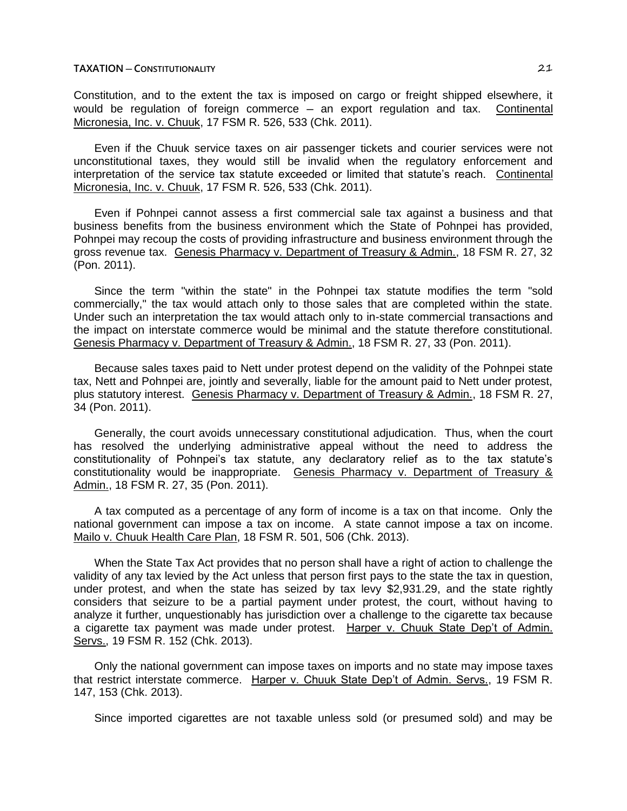Constitution, and to the extent the tax is imposed on cargo or freight shipped elsewhere, it would be regulation of foreign commerce  $-$  an export regulation and tax. Continental Micronesia, Inc. v. Chuuk, 17 FSM R. 526, 533 (Chk. 2011).

Even if the Chuuk service taxes on air passenger tickets and courier services were not unconstitutional taxes, they would still be invalid when the regulatory enforcement and interpretation of the service tax statute exceeded or limited that statute's reach. Continental Micronesia, Inc. v. Chuuk, 17 FSM R. 526, 533 (Chk. 2011).

Even if Pohnpei cannot assess a first commercial sale tax against a business and that business benefits from the business environment which the State of Pohnpei has provided, Pohnpei may recoup the costs of providing infrastructure and business environment through the gross revenue tax. Genesis Pharmacy v. Department of Treasury & Admin., 18 FSM R. 27, 32 (Pon. 2011).

Since the term "within the state" in the Pohnpei tax statute modifies the term "sold commercially," the tax would attach only to those sales that are completed within the state. Under such an interpretation the tax would attach only to in-state commercial transactions and the impact on interstate commerce would be minimal and the statute therefore constitutional. Genesis Pharmacy v. Department of Treasury & Admin., 18 FSM R. 27, 33 (Pon. 2011).

Because sales taxes paid to Nett under protest depend on the validity of the Pohnpei state tax, Nett and Pohnpei are, jointly and severally, liable for the amount paid to Nett under protest, plus statutory interest. Genesis Pharmacy v. Department of Treasury & Admin., 18 FSM R. 27, 34 (Pon. 2011).

Generally, the court avoids unnecessary constitutional adjudication. Thus, when the court has resolved the underlying administrative appeal without the need to address the constitutionality of Pohnpei's tax statute, any declaratory relief as to the tax statute's constitutionality would be inappropriate. Genesis Pharmacy v. Department of Treasury & Admin., 18 FSM R. 27, 35 (Pon. 2011).

A tax computed as a percentage of any form of income is a tax on that income. Only the national government can impose a tax on income. A state cannot impose a tax on income. Mailo v. Chuuk Health Care Plan, 18 FSM R. 501, 506 (Chk. 2013).

When the State Tax Act provides that no person shall have a right of action to challenge the validity of any tax levied by the Act unless that person first pays to the state the tax in question, under protest, and when the state has seized by tax levy \$2,931.29, and the state rightly considers that seizure to be a partial payment under protest, the court, without having to analyze it further, unquestionably has jurisdiction over a challenge to the cigarette tax because a cigarette tax payment was made under protest. Harper v. Chuuk State Dep't of Admin. Servs., 19 FSM R. 152 (Chk. 2013).

Only the national government can impose taxes on imports and no state may impose taxes that restrict interstate commerce. Harper v. Chuuk State Dep't of Admin. Servs., 19 FSM R. 147, 153 (Chk. 2013).

Since imported cigarettes are not taxable unless sold (or presumed sold) and may be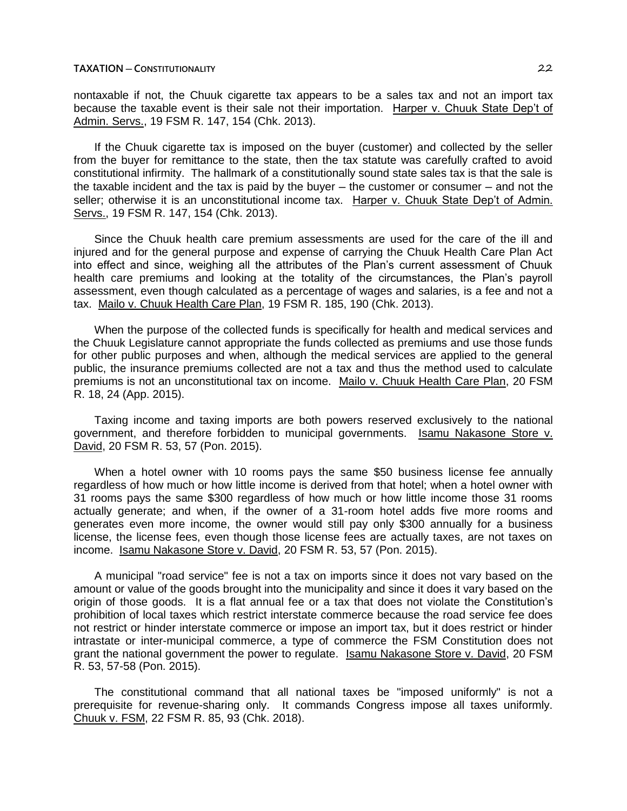nontaxable if not, the Chuuk cigarette tax appears to be a sales tax and not an import tax because the taxable event is their sale not their importation. Harper v. Chuuk State Dep't of Admin. Servs., 19 FSM R. 147, 154 (Chk. 2013).

If the Chuuk cigarette tax is imposed on the buyer (customer) and collected by the seller from the buyer for remittance to the state, then the tax statute was carefully crafted to avoid constitutional infirmity. The hallmark of a constitutionally sound state sales tax is that the sale is the taxable incident and the tax is paid by the buyer  $-$  the customer or consumer  $-$  and not the seller; otherwise it is an unconstitutional income tax. Harper v. Chuuk State Dep't of Admin. Servs., 19 FSM R. 147, 154 (Chk. 2013).

Since the Chuuk health care premium assessments are used for the care of the ill and injured and for the general purpose and expense of carrying the Chuuk Health Care Plan Act into effect and since, weighing all the attributes of the Plan's current assessment of Chuuk health care premiums and looking at the totality of the circumstances, the Plan's payroll assessment, even though calculated as a percentage of wages and salaries, is a fee and not a tax. Mailo v. Chuuk Health Care Plan, 19 FSM R. 185, 190 (Chk. 2013).

When the purpose of the collected funds is specifically for health and medical services and the Chuuk Legislature cannot appropriate the funds collected as premiums and use those funds for other public purposes and when, although the medical services are applied to the general public, the insurance premiums collected are not a tax and thus the method used to calculate premiums is not an unconstitutional tax on income. Mailo v. Chuuk Health Care Plan, 20 FSM R. 18, 24 (App. 2015).

Taxing income and taxing imports are both powers reserved exclusively to the national government, and therefore forbidden to municipal governments. Isamu Nakasone Store v. David, 20 FSM R. 53, 57 (Pon. 2015).

When a hotel owner with 10 rooms pays the same \$50 business license fee annually regardless of how much or how little income is derived from that hotel; when a hotel owner with 31 rooms pays the same \$300 regardless of how much or how little income those 31 rooms actually generate; and when, if the owner of a 31-room hotel adds five more rooms and generates even more income, the owner would still pay only \$300 annually for a business license, the license fees, even though those license fees are actually taxes, are not taxes on income. Isamu Nakasone Store v. David, 20 FSM R. 53, 57 (Pon. 2015).

A municipal "road service" fee is not a tax on imports since it does not vary based on the amount or value of the goods brought into the municipality and since it does it vary based on the origin of those goods. It is a flat annual fee or a tax that does not violate the Constitution's prohibition of local taxes which restrict interstate commerce because the road service fee does not restrict or hinder interstate commerce or impose an import tax, but it does restrict or hinder intrastate or inter-municipal commerce, a type of commerce the FSM Constitution does not grant the national government the power to regulate. Isamu Nakasone Store v. David, 20 FSM R. 53, 57-58 (Pon. 2015).

The constitutional command that all national taxes be "imposed uniformly" is not a prerequisite for revenue-sharing only. It commands Congress impose all taxes uniformly. Chuuk v. FSM, 22 FSM R. 85, 93 (Chk. 2018).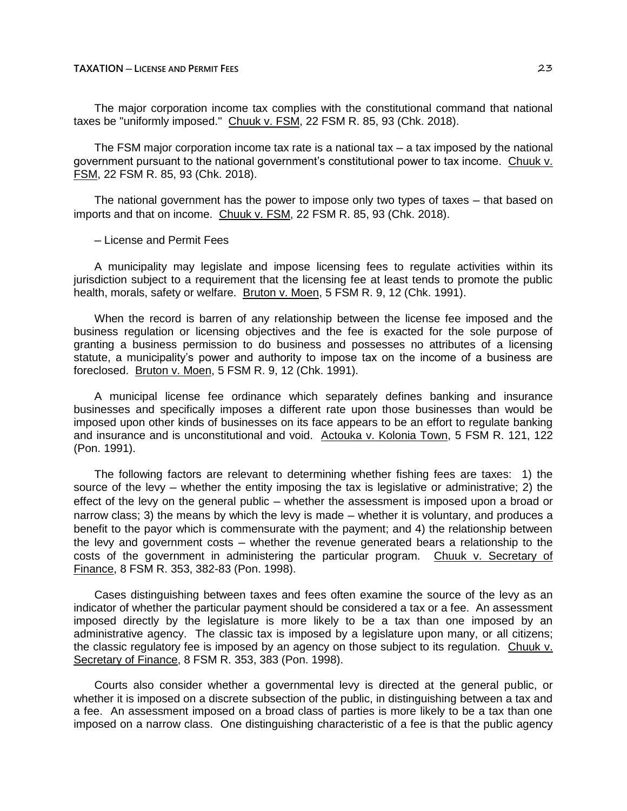The major corporation income tax complies with the constitutional command that national taxes be "uniformly imposed." Chuuk v. FSM, 22 FSM R. 85, 93 (Chk. 2018).

The FSM major corporation income tax rate is a national tax  $-$  a tax imposed by the national government pursuant to the national government's constitutional power to tax income. Chuuk v. FSM, 22 FSM R. 85, 93 (Chk. 2018).

The national government has the power to impose only two types of taxes — that based on imports and that on income. Chuuk v. FSM, 22 FSM R. 85, 93 (Chk. 2018).

─ License and Permit Fees

A municipality may legislate and impose licensing fees to regulate activities within its jurisdiction subject to a requirement that the licensing fee at least tends to promote the public health, morals, safety or welfare. Bruton v. Moen, 5 FSM R. 9, 12 (Chk. 1991).

When the record is barren of any relationship between the license fee imposed and the business regulation or licensing objectives and the fee is exacted for the sole purpose of granting a business permission to do business and possesses no attributes of a licensing statute, a municipality's power and authority to impose tax on the income of a business are foreclosed. Bruton v. Moen, 5 FSM R. 9, 12 (Chk. 1991).

A municipal license fee ordinance which separately defines banking and insurance businesses and specifically imposes a different rate upon those businesses than would be imposed upon other kinds of businesses on its face appears to be an effort to regulate banking and insurance and is unconstitutional and void. Actouka v. Kolonia Town, 5 FSM R. 121, 122 (Pon. 1991).

The following factors are relevant to determining whether fishing fees are taxes: 1) the source of the levy  $-$  whether the entity imposing the tax is legislative or administrative; 2) the effect of the levy on the general public – whether the assessment is imposed upon a broad or narrow class; 3) the means by which the levy is made — whether it is voluntary, and produces a benefit to the payor which is commensurate with the payment; and 4) the relationship between the levy and government costs — whether the revenue generated bears a relationship to the costs of the government in administering the particular program. Chuuk v. Secretary of Finance, 8 FSM R. 353, 382-83 (Pon. 1998).

Cases distinguishing between taxes and fees often examine the source of the levy as an indicator of whether the particular payment should be considered a tax or a fee. An assessment imposed directly by the legislature is more likely to be a tax than one imposed by an administrative agency. The classic tax is imposed by a legislature upon many, or all citizens; the classic regulatory fee is imposed by an agency on those subject to its regulation. Chuuk  $v_1$ Secretary of Finance, 8 FSM R. 353, 383 (Pon. 1998).

Courts also consider whether a governmental levy is directed at the general public, or whether it is imposed on a discrete subsection of the public, in distinguishing between a tax and a fee. An assessment imposed on a broad class of parties is more likely to be a tax than one imposed on a narrow class. One distinguishing characteristic of a fee is that the public agency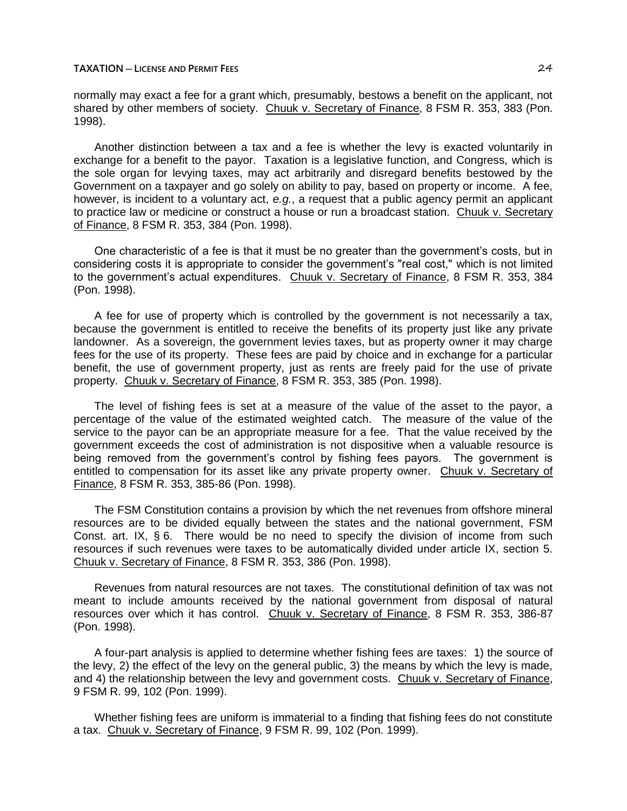## **TAXATION ─ LICENSE AND PERMIT FEES** 24

normally may exact a fee for a grant which, presumably, bestows a benefit on the applicant, not shared by other members of society. Chuuk v. Secretary of Finance, 8 FSM R. 353, 383 (Pon. 1998).

Another distinction between a tax and a fee is whether the levy is exacted voluntarily in exchange for a benefit to the payor. Taxation is a legislative function, and Congress, which is the sole organ for levying taxes, may act arbitrarily and disregard benefits bestowed by the Government on a taxpayer and go solely on ability to pay, based on property or income. A fee, however, is incident to a voluntary act, *e.g.*, a request that a public agency permit an applicant to practice law or medicine or construct a house or run a broadcast station. Chuuk v. Secretary of Finance, 8 FSM R. 353, 384 (Pon. 1998).

One characteristic of a fee is that it must be no greater than the government's costs, but in considering costs it is appropriate to consider the government's "real cost," which is not limited to the government's actual expenditures. Chuuk v. Secretary of Finance, 8 FSM R. 353, 384 (Pon. 1998).

A fee for use of property which is controlled by the government is not necessarily a tax, because the government is entitled to receive the benefits of its property just like any private landowner. As a sovereign, the government levies taxes, but as property owner it may charge fees for the use of its property. These fees are paid by choice and in exchange for a particular benefit, the use of government property, just as rents are freely paid for the use of private property. Chuuk v. Secretary of Finance, 8 FSM R. 353, 385 (Pon. 1998).

The level of fishing fees is set at a measure of the value of the asset to the payor, a percentage of the value of the estimated weighted catch. The measure of the value of the service to the payor can be an appropriate measure for a fee. That the value received by the government exceeds the cost of administration is not dispositive when a valuable resource is being removed from the government's control by fishing fees payors. The government is entitled to compensation for its asset like any private property owner. Chuuk v. Secretary of Finance, 8 FSM R. 353, 385-86 (Pon. 1998).

The FSM Constitution contains a provision by which the net revenues from offshore mineral resources are to be divided equally between the states and the national government, FSM Const. art. IX,  $\S 6$ . There would be no need to specify the division of income from such resources if such revenues were taxes to be automatically divided under article IX, section 5. Chuuk v. Secretary of Finance, 8 FSM R. 353, 386 (Pon. 1998).

Revenues from natural resources are not taxes. The constitutional definition of tax was not meant to include amounts received by the national government from disposal of natural resources over which it has control. Chuuk v. Secretary of Finance, 8 FSM R. 353, 386-87 (Pon. 1998).

A four-part analysis is applied to determine whether fishing fees are taxes: 1) the source of the levy, 2) the effect of the levy on the general public, 3) the means by which the levy is made, and 4) the relationship between the levy and government costs. Chuuk v. Secretary of Finance, 9 FSM R. 99, 102 (Pon. 1999).

Whether fishing fees are uniform is immaterial to a finding that fishing fees do not constitute a tax. Chuuk v. Secretary of Finance, 9 FSM R. 99, 102 (Pon. 1999).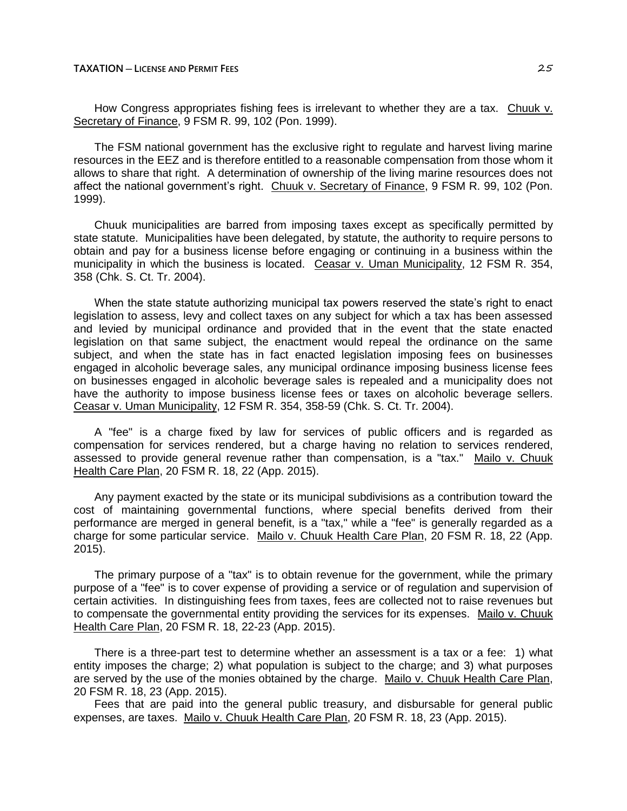## **TAXATION ─ LICENSE AND PERMIT FEES** 25

How Congress appropriates fishing fees is irrelevant to whether they are a tax. Chuuk v. Secretary of Finance, 9 FSM R. 99, 102 (Pon. 1999).

The FSM national government has the exclusive right to regulate and harvest living marine resources in the EEZ and is therefore entitled to a reasonable compensation from those whom it allows to share that right. A determination of ownership of the living marine resources does not affect the national government's right. Chuuk v. Secretary of Finance, 9 FSM R. 99, 102 (Pon. 1999).

Chuuk municipalities are barred from imposing taxes except as specifically permitted by state statute. Municipalities have been delegated, by statute, the authority to require persons to obtain and pay for a business license before engaging or continuing in a business within the municipality in which the business is located. Ceasar v. Uman Municipality, 12 FSM R. 354, 358 (Chk. S. Ct. Tr. 2004).

When the state statute authorizing municipal tax powers reserved the state's right to enact legislation to assess, levy and collect taxes on any subject for which a tax has been assessed and levied by municipal ordinance and provided that in the event that the state enacted legislation on that same subject, the enactment would repeal the ordinance on the same subject, and when the state has in fact enacted legislation imposing fees on businesses engaged in alcoholic beverage sales, any municipal ordinance imposing business license fees on businesses engaged in alcoholic beverage sales is repealed and a municipality does not have the authority to impose business license fees or taxes on alcoholic beverage sellers. Ceasar v. Uman Municipality, 12 FSM R. 354, 358-59 (Chk. S. Ct. Tr. 2004).

A "fee" is a charge fixed by law for services of public officers and is regarded as compensation for services rendered, but a charge having no relation to services rendered, assessed to provide general revenue rather than compensation, is a "tax." Mailo v. Chuuk Health Care Plan, 20 FSM R. 18, 22 (App. 2015).

Any payment exacted by the state or its municipal subdivisions as a contribution toward the cost of maintaining governmental functions, where special benefits derived from their performance are merged in general benefit, is a "tax," while a "fee" is generally regarded as a charge for some particular service. Mailo v. Chuuk Health Care Plan, 20 FSM R. 18, 22 (App. 2015).

The primary purpose of a "tax" is to obtain revenue for the government, while the primary purpose of a "fee" is to cover expense of providing a service or of regulation and supervision of certain activities. In distinguishing fees from taxes, fees are collected not to raise revenues but to compensate the governmental entity providing the services for its expenses. Mailo v. Chuuk Health Care Plan, 20 FSM R. 18, 22-23 (App. 2015).

There is a three-part test to determine whether an assessment is a tax or a fee: 1) what entity imposes the charge; 2) what population is subject to the charge; and 3) what purposes are served by the use of the monies obtained by the charge. Mailo v. Chuuk Health Care Plan, 20 FSM R. 18, 23 (App. 2015).

Fees that are paid into the general public treasury, and disbursable for general public expenses, are taxes. Mailo v. Chuuk Health Care Plan, 20 FSM R. 18, 23 (App. 2015).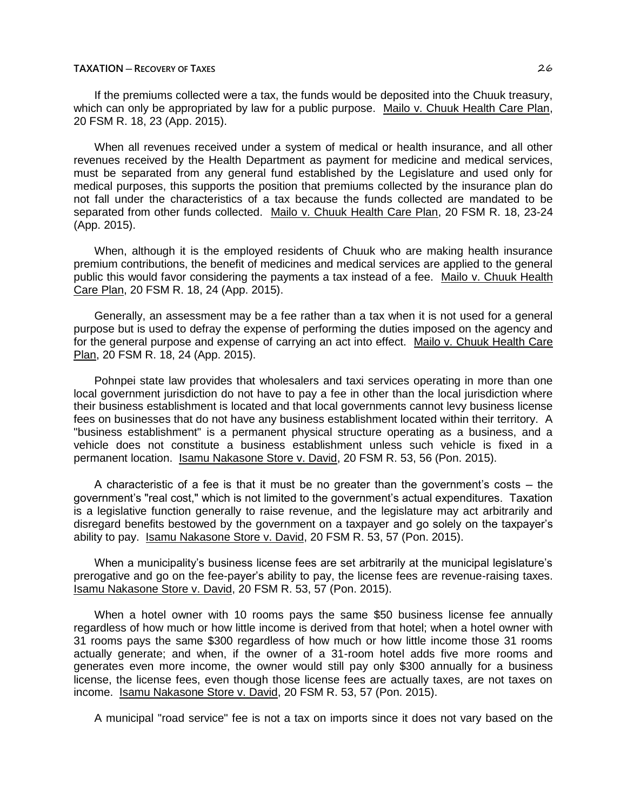If the premiums collected were a tax, the funds would be deposited into the Chuuk treasury, which can only be appropriated by law for a public purpose. Mailo v. Chuuk Health Care Plan, 20 FSM R. 18, 23 (App. 2015).

When all revenues received under a system of medical or health insurance, and all other revenues received by the Health Department as payment for medicine and medical services, must be separated from any general fund established by the Legislature and used only for medical purposes, this supports the position that premiums collected by the insurance plan do not fall under the characteristics of a tax because the funds collected are mandated to be separated from other funds collected. Mailo v. Chuuk Health Care Plan, 20 FSM R. 18, 23-24 (App. 2015).

When, although it is the employed residents of Chuuk who are making health insurance premium contributions, the benefit of medicines and medical services are applied to the general public this would favor considering the payments a tax instead of a fee. Mailo v. Chuuk Health Care Plan, 20 FSM R. 18, 24 (App. 2015).

Generally, an assessment may be a fee rather than a tax when it is not used for a general purpose but is used to defray the expense of performing the duties imposed on the agency and for the general purpose and expense of carrying an act into effect. Mailo v. Chuuk Health Care Plan, 20 FSM R. 18, 24 (App. 2015).

Pohnpei state law provides that wholesalers and taxi services operating in more than one local government jurisdiction do not have to pay a fee in other than the local jurisdiction where their business establishment is located and that local governments cannot levy business license fees on businesses that do not have any business establishment located within their territory. A "business establishment" is a permanent physical structure operating as a business, and a vehicle does not constitute a business establishment unless such vehicle is fixed in a permanent location. Isamu Nakasone Store v. David, 20 FSM R. 53, 56 (Pon. 2015).

A characteristic of a fee is that it must be no greater than the government's costs  $-$  the government's "real cost," which is not limited to the government's actual expenditures. Taxation is a legislative function generally to raise revenue, and the legislature may act arbitrarily and disregard benefits bestowed by the government on a taxpayer and go solely on the taxpayer's ability to pay. Isamu Nakasone Store v. David, 20 FSM R. 53, 57 (Pon. 2015).

When a municipality's business license fees are set arbitrarily at the municipal legislature's prerogative and go on the fee-payer's ability to pay, the license fees are revenue-raising taxes. Isamu Nakasone Store v. David, 20 FSM R. 53, 57 (Pon. 2015).

When a hotel owner with 10 rooms pays the same \$50 business license fee annually regardless of how much or how little income is derived from that hotel; when a hotel owner with 31 rooms pays the same \$300 regardless of how much or how little income those 31 rooms actually generate; and when, if the owner of a 31-room hotel adds five more rooms and generates even more income, the owner would still pay only \$300 annually for a business license, the license fees, even though those license fees are actually taxes, are not taxes on income. Isamu Nakasone Store v. David, 20 FSM R. 53, 57 (Pon. 2015).

A municipal "road service" fee is not a tax on imports since it does not vary based on the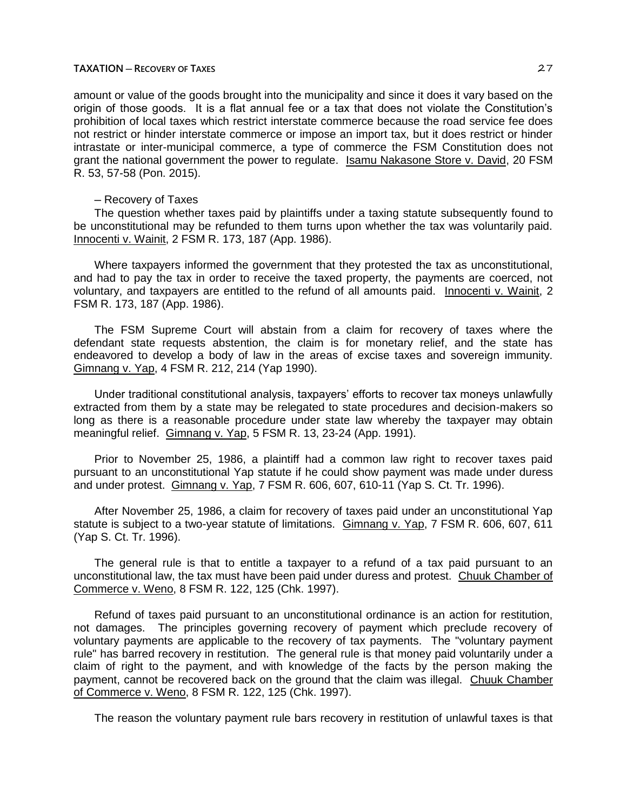amount or value of the goods brought into the municipality and since it does it vary based on the origin of those goods. It is a flat annual fee or a tax that does not violate the Constitution's prohibition of local taxes which restrict interstate commerce because the road service fee does not restrict or hinder interstate commerce or impose an import tax, but it does restrict or hinder intrastate or inter-municipal commerce, a type of commerce the FSM Constitution does not grant the national government the power to regulate. Isamu Nakasone Store v. David, 20 FSM R. 53, 57-58 (Pon. 2015).

# ─ Recovery of Taxes

The question whether taxes paid by plaintiffs under a taxing statute subsequently found to be unconstitutional may be refunded to them turns upon whether the tax was voluntarily paid. Innocenti v. Wainit, 2 FSM R. 173, 187 (App. 1986).

Where taxpayers informed the government that they protested the tax as unconstitutional, and had to pay the tax in order to receive the taxed property, the payments are coerced, not voluntary, and taxpayers are entitled to the refund of all amounts paid. Innocenti v. Wainit, 2 FSM R. 173, 187 (App. 1986).

The FSM Supreme Court will abstain from a claim for recovery of taxes where the defendant state requests abstention, the claim is for monetary relief, and the state has endeavored to develop a body of law in the areas of excise taxes and sovereign immunity. Gimnang v. Yap, 4 FSM R. 212, 214 (Yap 1990).

Under traditional constitutional analysis, taxpayers' efforts to recover tax moneys unlawfully extracted from them by a state may be relegated to state procedures and decision-makers so long as there is a reasonable procedure under state law whereby the taxpayer may obtain meaningful relief. Gimnang v. Yap, 5 FSM R. 13, 23-24 (App. 1991).

Prior to November 25, 1986, a plaintiff had a common law right to recover taxes paid pursuant to an unconstitutional Yap statute if he could show payment was made under duress and under protest. Gimnang v. Yap, 7 FSM R. 606, 607, 610-11 (Yap S. Ct. Tr. 1996).

After November 25, 1986, a claim for recovery of taxes paid under an unconstitutional Yap statute is subject to a two-year statute of limitations. Gimnang v. Yap, 7 FSM R. 606, 607, 611 (Yap S. Ct. Tr. 1996).

The general rule is that to entitle a taxpayer to a refund of a tax paid pursuant to an unconstitutional law, the tax must have been paid under duress and protest. Chuuk Chamber of Commerce v. Weno, 8 FSM R. 122, 125 (Chk. 1997).

Refund of taxes paid pursuant to an unconstitutional ordinance is an action for restitution, not damages. The principles governing recovery of payment which preclude recovery of voluntary payments are applicable to the recovery of tax payments. The "voluntary payment rule" has barred recovery in restitution. The general rule is that money paid voluntarily under a claim of right to the payment, and with knowledge of the facts by the person making the payment, cannot be recovered back on the ground that the claim was illegal. Chuuk Chamber of Commerce v. Weno, 8 FSM R. 122, 125 (Chk. 1997).

The reason the voluntary payment rule bars recovery in restitution of unlawful taxes is that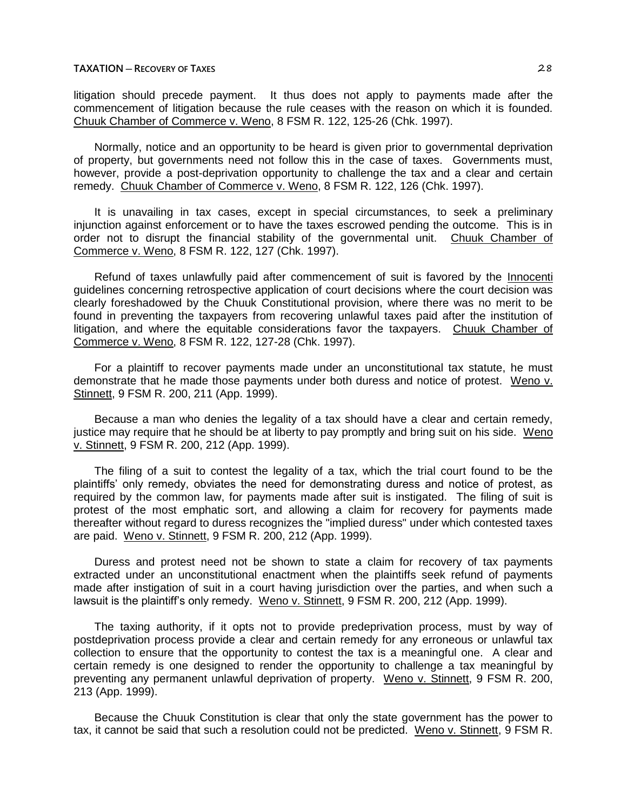litigation should precede payment. It thus does not apply to payments made after the commencement of litigation because the rule ceases with the reason on which it is founded. Chuuk Chamber of Commerce v. Weno, 8 FSM R. 122, 125-26 (Chk. 1997).

Normally, notice and an opportunity to be heard is given prior to governmental deprivation of property, but governments need not follow this in the case of taxes. Governments must, however, provide a post-deprivation opportunity to challenge the tax and a clear and certain remedy. Chuuk Chamber of Commerce v. Weno, 8 FSM R. 122, 126 (Chk. 1997).

It is unavailing in tax cases, except in special circumstances, to seek a preliminary injunction against enforcement or to have the taxes escrowed pending the outcome. This is in order not to disrupt the financial stability of the governmental unit. Chuuk Chamber of Commerce v. Weno, 8 FSM R. 122, 127 (Chk. 1997).

Refund of taxes unlawfully paid after commencement of suit is favored by the Innocenti guidelines concerning retrospective application of court decisions where the court decision was clearly foreshadowed by the Chuuk Constitutional provision, where there was no merit to be found in preventing the taxpayers from recovering unlawful taxes paid after the institution of litigation, and where the equitable considerations favor the taxpayers. Chuuk Chamber of Commerce v. Weno, 8 FSM R. 122, 127-28 (Chk. 1997).

For a plaintiff to recover payments made under an unconstitutional tax statute, he must demonstrate that he made those payments under both duress and notice of protest. Weno v. Stinnett, 9 FSM R. 200, 211 (App. 1999).

Because a man who denies the legality of a tax should have a clear and certain remedy, justice may require that he should be at liberty to pay promptly and bring suit on his side. Weno v. Stinnett, 9 FSM R. 200, 212 (App. 1999).

The filing of a suit to contest the legality of a tax, which the trial court found to be the plaintiffs' only remedy, obviates the need for demonstrating duress and notice of protest, as required by the common law, for payments made after suit is instigated. The filing of suit is protest of the most emphatic sort, and allowing a claim for recovery for payments made thereafter without regard to duress recognizes the "implied duress" under which contested taxes are paid. Weno v. Stinnett, 9 FSM R. 200, 212 (App. 1999).

Duress and protest need not be shown to state a claim for recovery of tax payments extracted under an unconstitutional enactment when the plaintiffs seek refund of payments made after instigation of suit in a court having jurisdiction over the parties, and when such a lawsuit is the plaintiff's only remedy. Weno v. Stinnett, 9 FSM R. 200, 212 (App. 1999).

The taxing authority, if it opts not to provide predeprivation process, must by way of postdeprivation process provide a clear and certain remedy for any erroneous or unlawful tax collection to ensure that the opportunity to contest the tax is a meaningful one. A clear and certain remedy is one designed to render the opportunity to challenge a tax meaningful by preventing any permanent unlawful deprivation of property. Weno v. Stinnett, 9 FSM R. 200, 213 (App. 1999).

Because the Chuuk Constitution is clear that only the state government has the power to tax, it cannot be said that such a resolution could not be predicted. Weno v. Stinnett, 9 FSM R.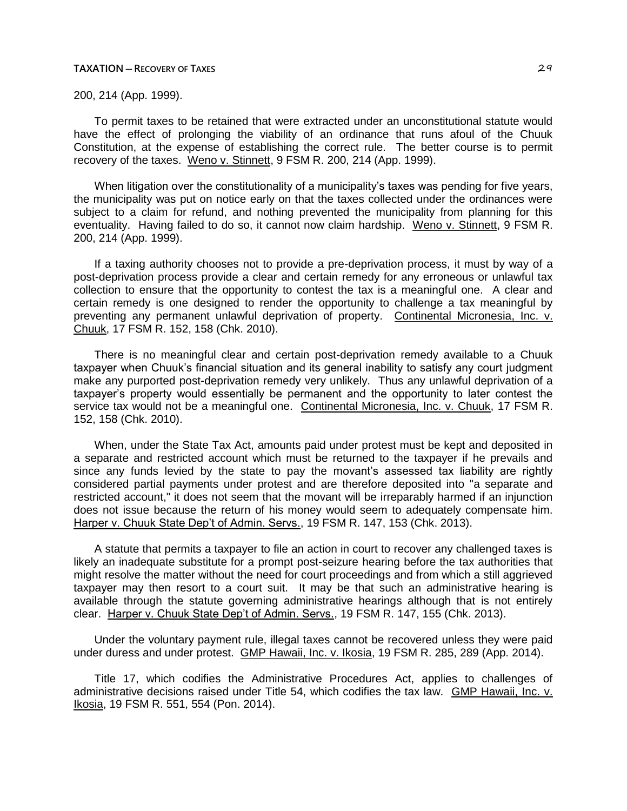200, 214 (App. 1999).

To permit taxes to be retained that were extracted under an unconstitutional statute would have the effect of prolonging the viability of an ordinance that runs afoul of the Chuuk Constitution, at the expense of establishing the correct rule. The better course is to permit recovery of the taxes. Weno v. Stinnett, 9 FSM R. 200, 214 (App. 1999).

When litigation over the constitutionality of a municipality's taxes was pending for five years, the municipality was put on notice early on that the taxes collected under the ordinances were subject to a claim for refund, and nothing prevented the municipality from planning for this eventuality. Having failed to do so, it cannot now claim hardship. Weno v. Stinnett, 9 FSM R. 200, 214 (App. 1999).

If a taxing authority chooses not to provide a pre-deprivation process, it must by way of a post-deprivation process provide a clear and certain remedy for any erroneous or unlawful tax collection to ensure that the opportunity to contest the tax is a meaningful one. A clear and certain remedy is one designed to render the opportunity to challenge a tax meaningful by preventing any permanent unlawful deprivation of property. Continental Micronesia, Inc. v. Chuuk, 17 FSM R. 152, 158 (Chk. 2010).

There is no meaningful clear and certain post-deprivation remedy available to a Chuuk taxpayer when Chuuk's financial situation and its general inability to satisfy any court judgment make any purported post-deprivation remedy very unlikely. Thus any unlawful deprivation of a taxpayer's property would essentially be permanent and the opportunity to later contest the service tax would not be a meaningful one. Continental Micronesia, Inc. v. Chuuk, 17 FSM R. 152, 158 (Chk. 2010).

When, under the State Tax Act, amounts paid under protest must be kept and deposited in a separate and restricted account which must be returned to the taxpayer if he prevails and since any funds levied by the state to pay the movant's assessed tax liability are rightly considered partial payments under protest and are therefore deposited into "a separate and restricted account," it does not seem that the movant will be irreparably harmed if an injunction does not issue because the return of his money would seem to adequately compensate him. Harper v. Chuuk State Dep't of Admin. Servs., 19 FSM R. 147, 153 (Chk. 2013).

A statute that permits a taxpayer to file an action in court to recover any challenged taxes is likely an inadequate substitute for a prompt post-seizure hearing before the tax authorities that might resolve the matter without the need for court proceedings and from which a still aggrieved taxpayer may then resort to a court suit. It may be that such an administrative hearing is available through the statute governing administrative hearings although that is not entirely clear. Harper v. Chuuk State Dep't of Admin. Servs., 19 FSM R. 147, 155 (Chk. 2013).

Under the voluntary payment rule, illegal taxes cannot be recovered unless they were paid under duress and under protest. GMP Hawaii, Inc. v. Ikosia, 19 FSM R. 285, 289 (App. 2014).

Title 17, which codifies the Administrative Procedures Act, applies to challenges of administrative decisions raised under Title 54, which codifies the tax law. GMP Hawaii, Inc. v. Ikosia, 19 FSM R. 551, 554 (Pon. 2014).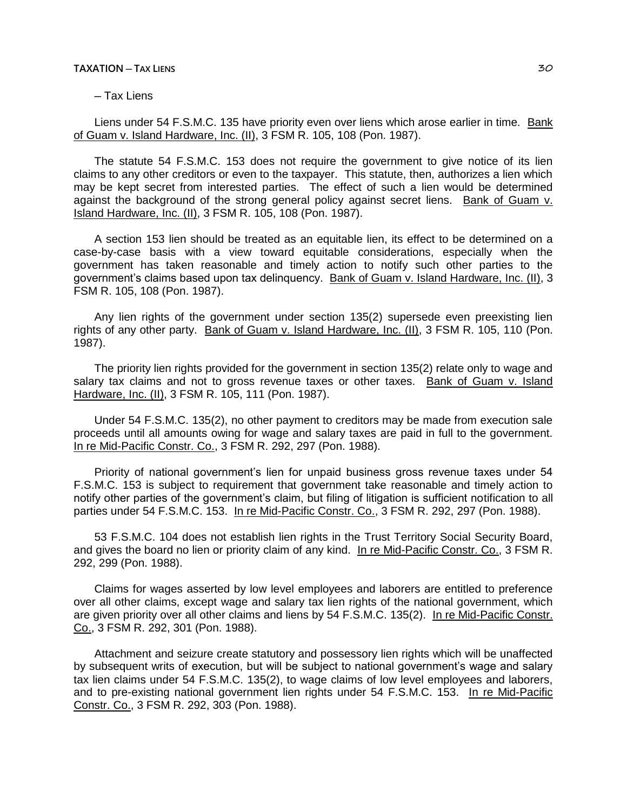# **TAXATION ─ TAX LIENS** 30

# ─ Tax Liens

Liens under 54 F.S.M.C. 135 have priority even over liens which arose earlier in time. Bank of Guam v. Island Hardware, Inc. (II), 3 FSM R. 105, 108 (Pon. 1987).

The statute 54 F.S.M.C. 153 does not require the government to give notice of its lien claims to any other creditors or even to the taxpayer. This statute, then, authorizes a lien which may be kept secret from interested parties. The effect of such a lien would be determined against the background of the strong general policy against secret liens. Bank of Guam v. Island Hardware, Inc. (II), 3 FSM R. 105, 108 (Pon. 1987).

A section 153 lien should be treated as an equitable lien, its effect to be determined on a case-by-case basis with a view toward equitable considerations, especially when the government has taken reasonable and timely action to notify such other parties to the government's claims based upon tax delinquency. Bank of Guam v. Island Hardware, Inc. (II), 3 FSM R. 105, 108 (Pon. 1987).

Any lien rights of the government under section 135(2) supersede even preexisting lien rights of any other party. Bank of Guam v. Island Hardware, Inc. (II), 3 FSM R. 105, 110 (Pon. 1987).

The priority lien rights provided for the government in section 135(2) relate only to wage and salary tax claims and not to gross revenue taxes or other taxes. Bank of Guam v. Island Hardware, Inc. (II), 3 FSM R. 105, 111 (Pon. 1987).

Under 54 F.S.M.C. 135(2), no other payment to creditors may be made from execution sale proceeds until all amounts owing for wage and salary taxes are paid in full to the government. In re Mid-Pacific Constr. Co., 3 FSM R. 292, 297 (Pon. 1988).

Priority of national government's lien for unpaid business gross revenue taxes under 54 F.S.M.C. 153 is subject to requirement that government take reasonable and timely action to notify other parties of the government's claim, but filing of litigation is sufficient notification to all parties under 54 F.S.M.C. 153. In re Mid-Pacific Constr. Co., 3 FSM R. 292, 297 (Pon. 1988).

53 F.S.M.C. 104 does not establish lien rights in the Trust Territory Social Security Board, and gives the board no lien or priority claim of any kind. In re Mid-Pacific Constr. Co., 3 FSM R. 292, 299 (Pon. 1988).

Claims for wages asserted by low level employees and laborers are entitled to preference over all other claims, except wage and salary tax lien rights of the national government, which are given priority over all other claims and liens by 54 F.S.M.C. 135(2). In re Mid-Pacific Constr. Co., 3 FSM R. 292, 301 (Pon. 1988).

Attachment and seizure create statutory and possessory lien rights which will be unaffected by subsequent writs of execution, but will be subject to national government's wage and salary tax lien claims under 54 F.S.M.C. 135(2), to wage claims of low level employees and laborers, and to pre-existing national government lien rights under 54 F.S.M.C. 153. In re Mid-Pacific Constr. Co., 3 FSM R. 292, 303 (Pon. 1988).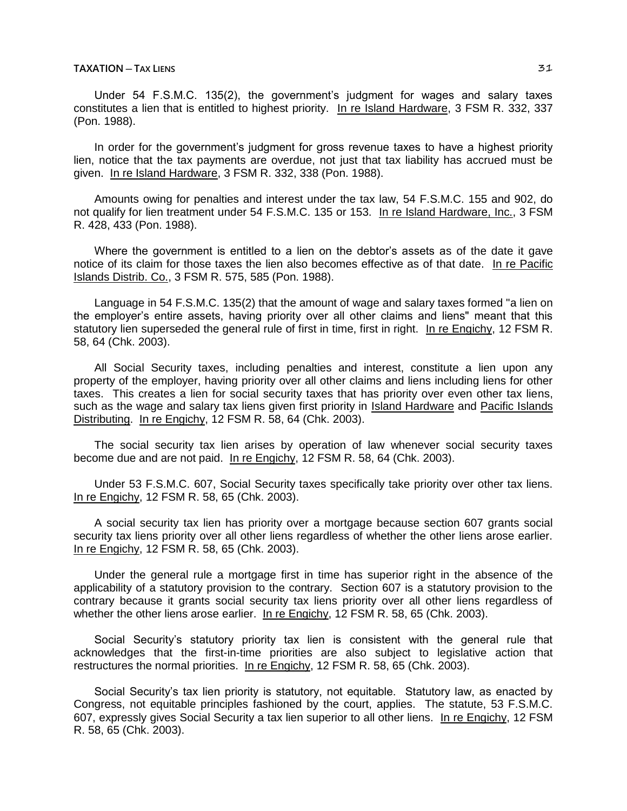# **TAXATION ─ TAX LIENS** 31

Under 54 F.S.M.C. 135(2), the government's judgment for wages and salary taxes constitutes a lien that is entitled to highest priority. In re Island Hardware, 3 FSM R. 332, 337 (Pon. 1988).

In order for the government's judgment for gross revenue taxes to have a highest priority lien, notice that the tax payments are overdue, not just that tax liability has accrued must be given. In re Island Hardware, 3 FSM R. 332, 338 (Pon. 1988).

Amounts owing for penalties and interest under the tax law, 54 F.S.M.C. 155 and 902, do not qualify for lien treatment under 54 F.S.M.C. 135 or 153. In re Island Hardware, Inc., 3 FSM R. 428, 433 (Pon. 1988).

Where the government is entitled to a lien on the debtor's assets as of the date it gave notice of its claim for those taxes the lien also becomes effective as of that date. In re Pacific Islands Distrib. Co., 3 FSM R. 575, 585 (Pon. 1988).

Language in 54 F.S.M.C. 135(2) that the amount of wage and salary taxes formed "a lien on the employer's entire assets, having priority over all other claims and liens" meant that this statutory lien superseded the general rule of first in time, first in right. In re Engichy, 12 FSM R. 58, 64 (Chk. 2003).

All Social Security taxes, including penalties and interest, constitute a lien upon any property of the employer, having priority over all other claims and liens including liens for other taxes. This creates a lien for social security taxes that has priority over even other tax liens, such as the wage and salary tax liens given first priority in Island Hardware and Pacific Islands Distributing. In re Engichy, 12 FSM R. 58, 64 (Chk. 2003).

The social security tax lien arises by operation of law whenever social security taxes become due and are not paid. In re Engichy, 12 FSM R. 58, 64 (Chk. 2003).

Under 53 F.S.M.C. 607, Social Security taxes specifically take priority over other tax liens. In re Engichy, 12 FSM R. 58, 65 (Chk. 2003).

A social security tax lien has priority over a mortgage because section 607 grants social security tax liens priority over all other liens regardless of whether the other liens arose earlier. In re Engichy, 12 FSM R. 58, 65 (Chk. 2003).

Under the general rule a mortgage first in time has superior right in the absence of the applicability of a statutory provision to the contrary. Section 607 is a statutory provision to the contrary because it grants social security tax liens priority over all other liens regardless of whether the other liens arose earlier. In re Engichy, 12 FSM R. 58, 65 (Chk. 2003).

Social Security's statutory priority tax lien is consistent with the general rule that acknowledges that the first-in-time priorities are also subject to legislative action that restructures the normal priorities. In re Engichy, 12 FSM R. 58, 65 (Chk. 2003).

Social Security's tax lien priority is statutory, not equitable. Statutory law, as enacted by Congress, not equitable principles fashioned by the court, applies. The statute, 53 F.S.M.C. 607, expressly gives Social Security a tax lien superior to all other liens. In re Engichy, 12 FSM R. 58, 65 (Chk. 2003).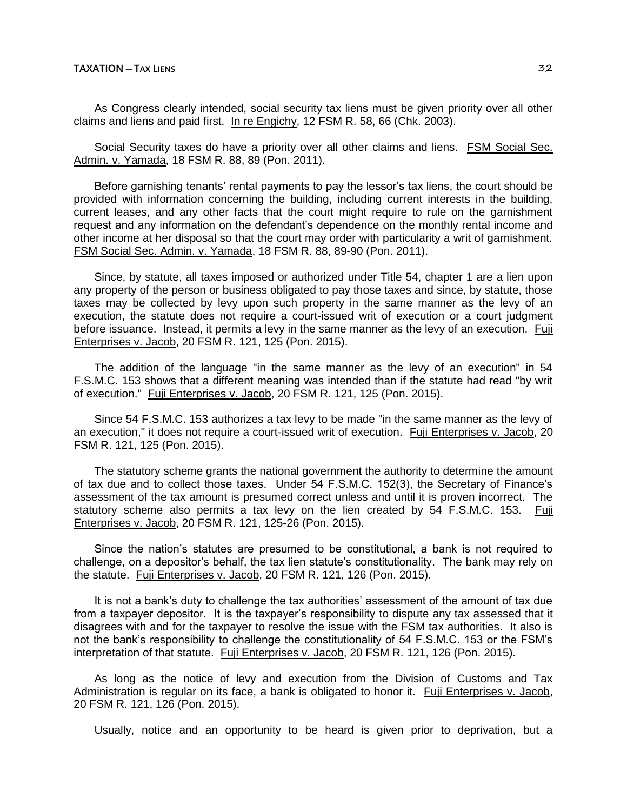As Congress clearly intended, social security tax liens must be given priority over all other claims and liens and paid first. In re Engichy, 12 FSM R. 58, 66 (Chk. 2003).

Social Security taxes do have a priority over all other claims and liens. FSM Social Sec. Admin. v. Yamada, 18 FSM R. 88, 89 (Pon. 2011).

Before garnishing tenants' rental payments to pay the lessor's tax liens, the court should be provided with information concerning the building, including current interests in the building, current leases, and any other facts that the court might require to rule on the garnishment request and any information on the defendant's dependence on the monthly rental income and other income at her disposal so that the court may order with particularity a writ of garnishment. FSM Social Sec. Admin. v. Yamada, 18 FSM R. 88, 89-90 (Pon. 2011).

Since, by statute, all taxes imposed or authorized under Title 54, chapter 1 are a lien upon any property of the person or business obligated to pay those taxes and since, by statute, those taxes may be collected by levy upon such property in the same manner as the levy of an execution, the statute does not require a court-issued writ of execution or a court judgment before issuance. Instead, it permits a levy in the same manner as the levy of an execution. Fuji Enterprises v. Jacob, 20 FSM R. 121, 125 (Pon. 2015).

The addition of the language "in the same manner as the levy of an execution" in 54 F.S.M.C. 153 shows that a different meaning was intended than if the statute had read "by writ of execution." Fuji Enterprises v. Jacob, 20 FSM R. 121, 125 (Pon. 2015).

Since 54 F.S.M.C. 153 authorizes a tax levy to be made "in the same manner as the levy of an execution," it does not require a court-issued writ of execution. Fuji Enterprises v. Jacob, 20 FSM R. 121, 125 (Pon. 2015).

The statutory scheme grants the national government the authority to determine the amount of tax due and to collect those taxes. Under 54 F.S.M.C. 152(3), the Secretary of Finance's assessment of the tax amount is presumed correct unless and until it is proven incorrect. The statutory scheme also permits a tax levy on the lien created by 54 F.S.M.C. 153. Fuji Enterprises v. Jacob, 20 FSM R. 121, 125-26 (Pon. 2015).

Since the nation's statutes are presumed to be constitutional, a bank is not required to challenge, on a depositor's behalf, the tax lien statute's constitutionality. The bank may rely on the statute. Fuji Enterprises v. Jacob, 20 FSM R. 121, 126 (Pon. 2015).

It is not a bank's duty to challenge the tax authorities' assessment of the amount of tax due from a taxpayer depositor. It is the taxpayer's responsibility to dispute any tax assessed that it disagrees with and for the taxpayer to resolve the issue with the FSM tax authorities. It also is not the bank's responsibility to challenge the constitutionality of 54 F.S.M.C. 153 or the FSM's interpretation of that statute. Fuji Enterprises v. Jacob, 20 FSM R. 121, 126 (Pon. 2015).

As long as the notice of levy and execution from the Division of Customs and Tax Administration is regular on its face, a bank is obligated to honor it. Fuji Enterprises v. Jacob, 20 FSM R. 121, 126 (Pon. 2015).

Usually, notice and an opportunity to be heard is given prior to deprivation, but a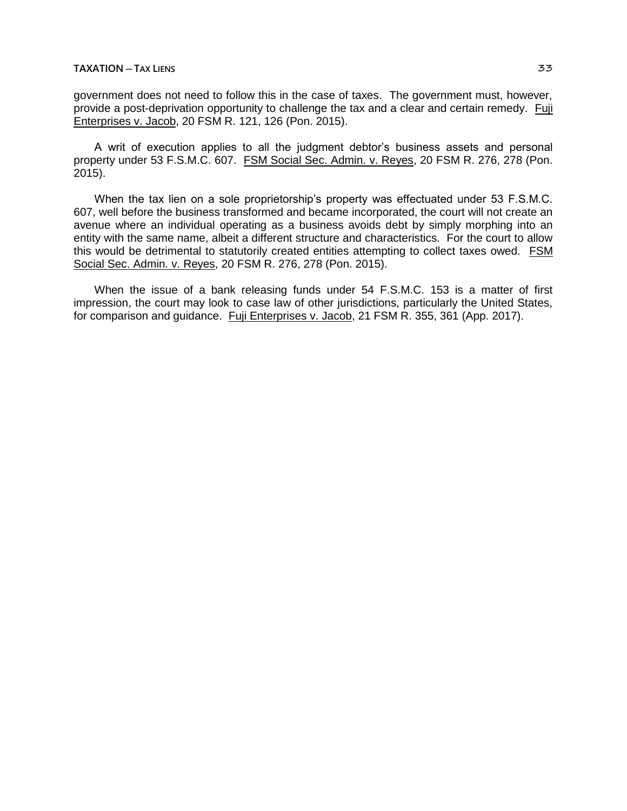government does not need to follow this in the case of taxes. The government must, however, provide a post-deprivation opportunity to challenge the tax and a clear and certain remedy. Fuji Enterprises v. Jacob, 20 FSM R. 121, 126 (Pon. 2015).

A writ of execution applies to all the judgment debtor's business assets and personal property under 53 F.S.M.C. 607. FSM Social Sec. Admin. v. Reyes, 20 FSM R. 276, 278 (Pon. 2015).

When the tax lien on a sole proprietorship's property was effectuated under 53 F.S.M.C. 607, well before the business transformed and became incorporated, the court will not create an avenue where an individual operating as a business avoids debt by simply morphing into an entity with the same name, albeit a different structure and characteristics. For the court to allow this would be detrimental to statutorily created entities attempting to collect taxes owed. FSM Social Sec. Admin. v. Reyes, 20 FSM R. 276, 278 (Pon. 2015).

When the issue of a bank releasing funds under 54 F.S.M.C. 153 is a matter of first impression, the court may look to case law of other jurisdictions, particularly the United States, for comparison and guidance. Fuji Enterprises v. Jacob, 21 FSM R. 355, 361 (App. 2017).